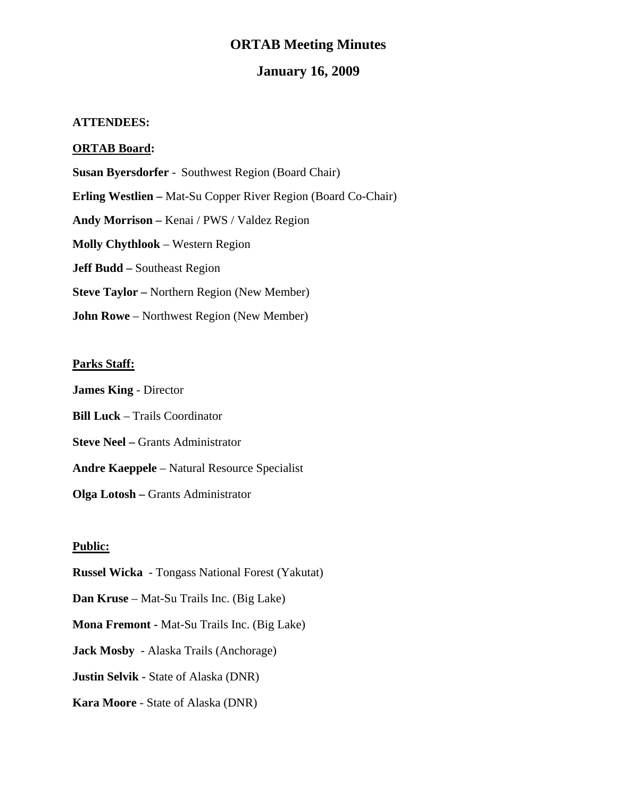## **ORTAB Meeting Minutes**

### **January 16, 2009**

#### **ATTENDEES:**

#### **ORTAB Board:**

**Susan Byersdorfer** - Southwest Region (Board Chair)

**Erling Westlien –** Mat-Su Copper River Region (Board Co-Chair)

**Andy Morrison –** Kenai / PWS / Valdez Region

**Molly Chythlook** – Western Region

**Jeff Budd –** Southeast Region

**Steve Taylor –** Northern Region (New Member)

**John Rowe** – Northwest Region (New Member)

#### **Parks Staff:**

**James King** - Director

**Bill Luck** – Trails Coordinator

**Steve Neel – Grants Administrator** 

**Andre Kaeppele** – Natural Resource Specialist

**Olga Lotosh –** Grants Administrator

#### **Public:**

**Russel Wicka** - Tongass National Forest (Yakutat)

**Dan Kruse** – Mat-Su Trails Inc. (Big Lake)

**Mona Fremont -** Mat-Su Trails Inc. (Big Lake)

**Jack Mosby** - Alaska Trails (Anchorage)

**Justin Selvik - State of Alaska (DNR)** 

**Kara Moore** - State of Alaska (DNR)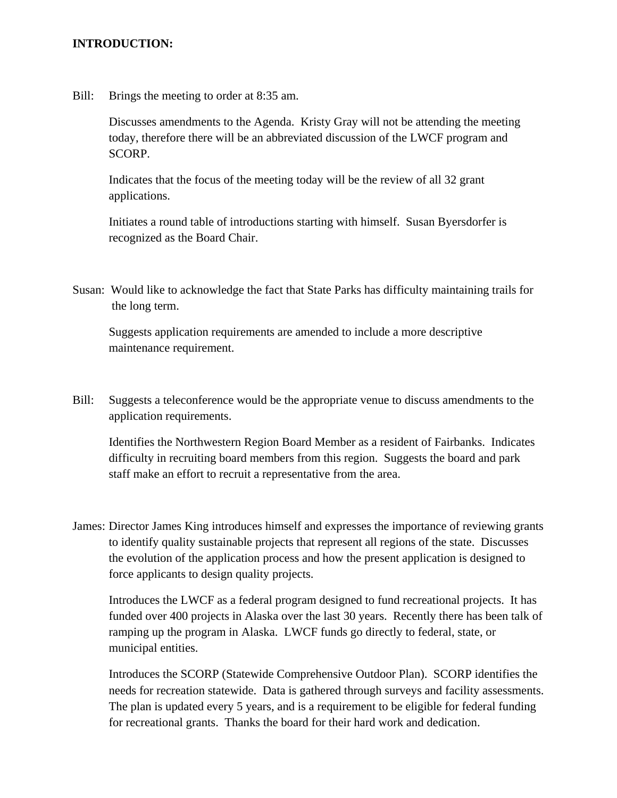#### **INTRODUCTION:**

Bill: Brings the meeting to order at 8:35 am.

Discusses amendments to the Agenda. Kristy Gray will not be attending the meeting today, therefore there will be an abbreviated discussion of the LWCF program and SCORP.

Indicates that the focus of the meeting today will be the review of all 32 grant applications.

Initiates a round table of introductions starting with himself. Susan Byersdorfer is recognized as the Board Chair.

Susan: Would like to acknowledge the fact that State Parks has difficulty maintaining trails for the long term.

Suggests application requirements are amended to include a more descriptive maintenance requirement.

Bill: Suggests a teleconference would be the appropriate venue to discuss amendments to the application requirements.

 Identifies the Northwestern Region Board Member as a resident of Fairbanks. Indicates difficulty in recruiting board members from this region. Suggests the board and park staff make an effort to recruit a representative from the area.

James: Director James King introduces himself and expresses the importance of reviewing grants to identify quality sustainable projects that represent all regions of the state. Discusses the evolution of the application process and how the present application is designed to force applicants to design quality projects.

 Introduces the LWCF as a federal program designed to fund recreational projects. It has funded over 400 projects in Alaska over the last 30 years. Recently there has been talk of ramping up the program in Alaska. LWCF funds go directly to federal, state, or municipal entities.

 Introduces the SCORP (Statewide Comprehensive Outdoor Plan). SCORP identifies the needs for recreation statewide. Data is gathered through surveys and facility assessments. The plan is updated every 5 years, and is a requirement to be eligible for federal funding for recreational grants. Thanks the board for their hard work and dedication.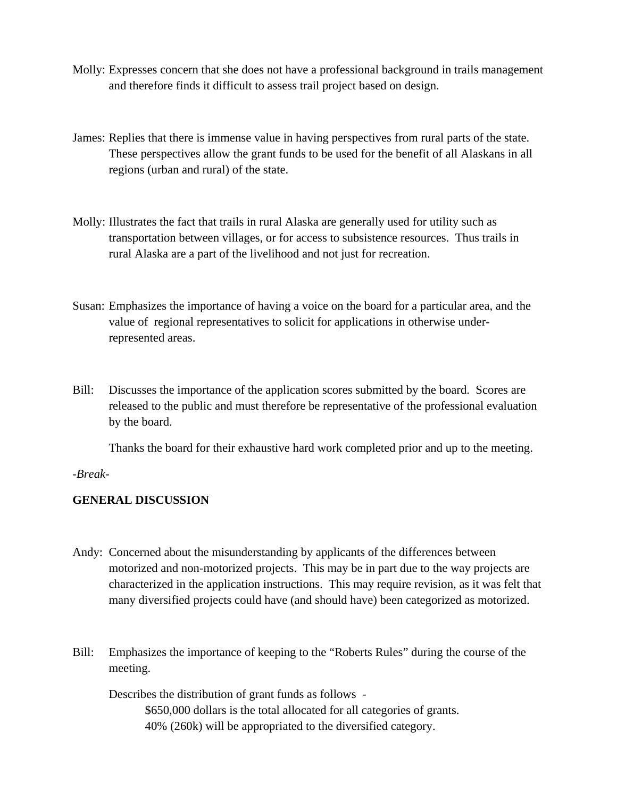- Molly: Expresses concern that she does not have a professional background in trails management and therefore finds it difficult to assess trail project based on design.
- James: Replies that there is immense value in having perspectives from rural parts of the state. These perspectives allow the grant funds to be used for the benefit of all Alaskans in all regions (urban and rural) of the state.
- Molly: Illustrates the fact that trails in rural Alaska are generally used for utility such as transportation between villages, or for access to subsistence resources. Thus trails in rural Alaska are a part of the livelihood and not just for recreation.
- Susan: Emphasizes the importance of having a voice on the board for a particular area, and the value of regional representatives to solicit for applications in otherwise underrepresented areas.
- Bill: Discusses the importance of the application scores submitted by the board. Scores are released to the public and must therefore be representative of the professional evaluation by the board.

Thanks the board for their exhaustive hard work completed prior and up to the meeting.

*-Break-*

### **GENERAL DISCUSSION**

- Andy: Concerned about the misunderstanding by applicants of the differences between motorized and non-motorized projects. This may be in part due to the way projects are characterized in the application instructions. This may require revision, as it was felt that many diversified projects could have (and should have) been categorized as motorized.
- Bill: Emphasizes the importance of keeping to the "Roberts Rules" during the course of the meeting.

 Describes the distribution of grant funds as follows - \$650,000 dollars is the total allocated for all categories of grants. 40% (260k) will be appropriated to the diversified category.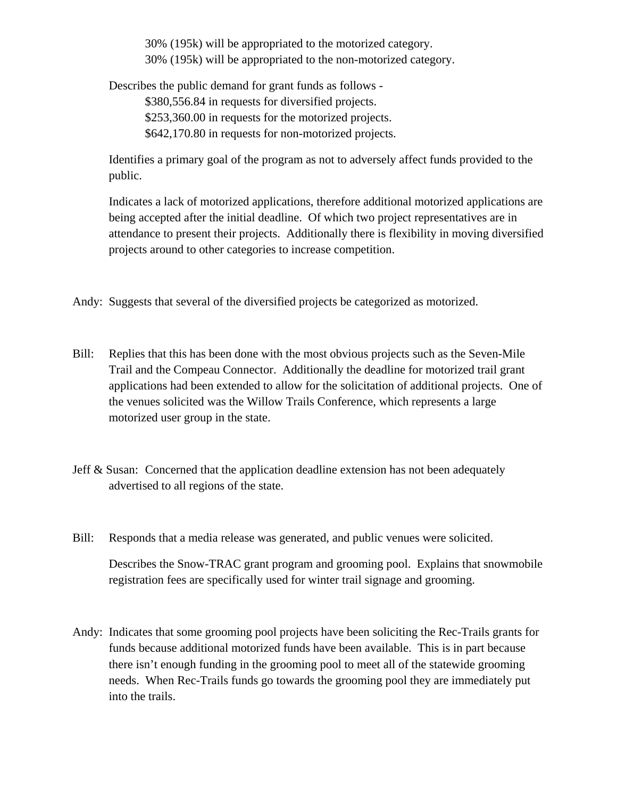30% (195k) will be appropriated to the motorized category. 30% (195k) will be appropriated to the non-motorized category.

Describes the public demand for grant funds as follows -

\$380,556.84 in requests for diversified projects.

\$253,360.00 in requests for the motorized projects.

\$642,170.80 in requests for non-motorized projects.

Identifies a primary goal of the program as not to adversely affect funds provided to the public.

 Indicates a lack of motorized applications, therefore additional motorized applications are being accepted after the initial deadline. Of which two project representatives are in attendance to present their projects. Additionally there is flexibility in moving diversified projects around to other categories to increase competition.

Andy: Suggests that several of the diversified projects be categorized as motorized.

- Bill: Replies that this has been done with the most obvious projects such as the Seven-Mile Trail and the Compeau Connector. Additionally the deadline for motorized trail grant applications had been extended to allow for the solicitation of additional projects. One of the venues solicited was the Willow Trails Conference, which represents a large motorized user group in the state.
- Jeff & Susan: Concerned that the application deadline extension has not been adequately advertised to all regions of the state.
- Bill: Responds that a media release was generated, and public venues were solicited.

 Describes the Snow-TRAC grant program and grooming pool. Explains that snowmobile registration fees are specifically used for winter trail signage and grooming.

Andy: Indicates that some grooming pool projects have been soliciting the Rec-Trails grants for funds because additional motorized funds have been available. This is in part because there isn't enough funding in the grooming pool to meet all of the statewide grooming needs. When Rec-Trails funds go towards the grooming pool they are immediately put into the trails.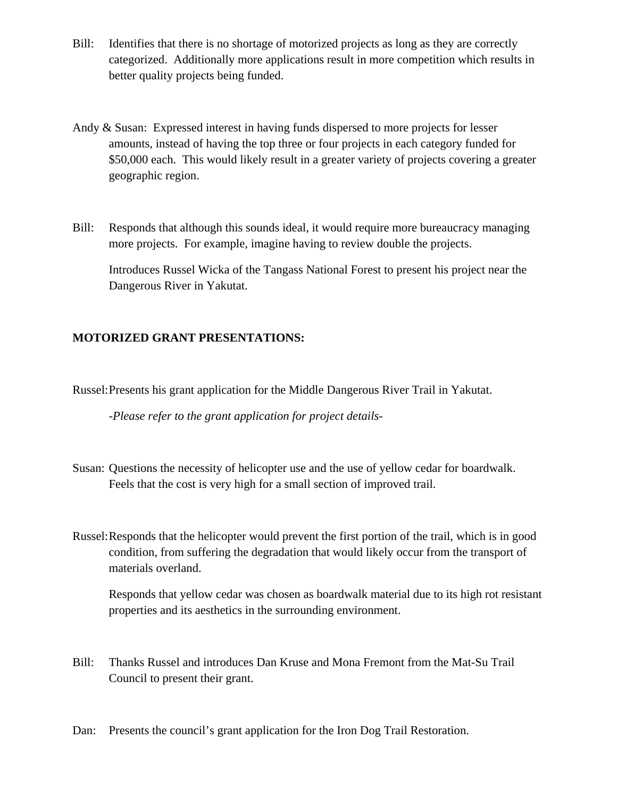- Bill: Identifies that there is no shortage of motorized projects as long as they are correctly categorized. Additionally more applications result in more competition which results in better quality projects being funded.
- Andy & Susan: Expressed interest in having funds dispersed to more projects for lesser amounts, instead of having the top three or four projects in each category funded for \$50,000 each. This would likely result in a greater variety of projects covering a greater geographic region.
- Bill: Responds that although this sounds ideal, it would require more bureaucracy managing more projects. For example, imagine having to review double the projects.

 Introduces Russel Wicka of the Tangass National Forest to present his project near the Dangerous River in Yakutat.

### **MOTORIZED GRANT PRESENTATIONS:**

Russel: Presents his grant application for the Middle Dangerous River Trail in Yakutat.

*-Please refer to the grant application for project details-*

- Susan: Questions the necessity of helicopter use and the use of yellow cedar for boardwalk. Feels that the cost is very high for a small section of improved trail.
- Russel: Responds that the helicopter would prevent the first portion of the trail, which is in good condition, from suffering the degradation that would likely occur from the transport of materials overland.

 Responds that yellow cedar was chosen as boardwalk material due to its high rot resistant properties and its aesthetics in the surrounding environment.

- Bill: Thanks Russel and introduces Dan Kruse and Mona Fremont from the Mat-Su Trail Council to present their grant.
- Dan: Presents the council's grant application for the Iron Dog Trail Restoration.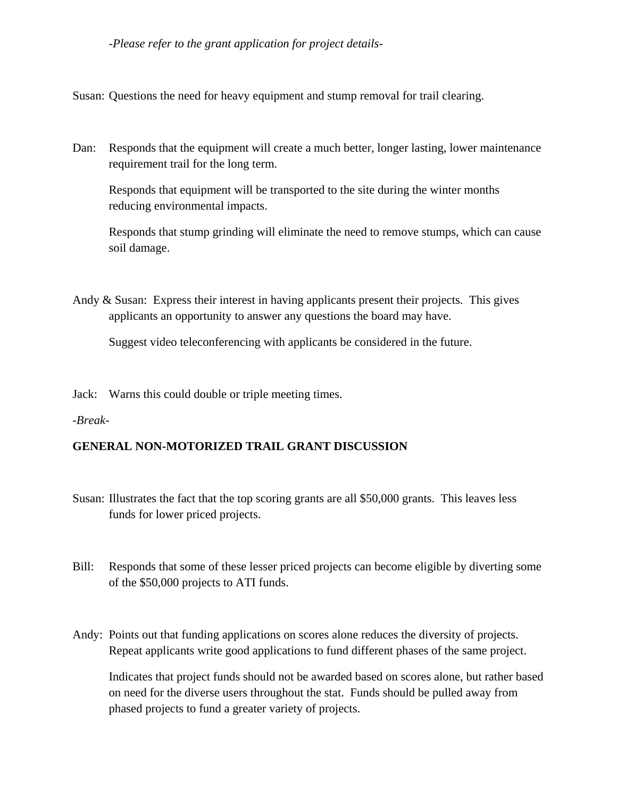#### *-Please refer to the grant application for project details-*

Susan: Questions the need for heavy equipment and stump removal for trail clearing.

Dan: Responds that the equipment will create a much better, longer lasting, lower maintenance requirement trail for the long term.

 Responds that equipment will be transported to the site during the winter months reducing environmental impacts.

 Responds that stump grinding will eliminate the need to remove stumps, which can cause soil damage.

Andy & Susan: Express their interest in having applicants present their projects. This gives applicants an opportunity to answer any questions the board may have.

Suggest video teleconferencing with applicants be considered in the future.

Jack: Warns this could double or triple meeting times.

#### *-Break-*

### **GENERAL NON-MOTORIZED TRAIL GRANT DISCUSSION**

- Susan: Illustrates the fact that the top scoring grants are all \$50,000 grants. This leaves less funds for lower priced projects.
- Bill: Responds that some of these lesser priced projects can become eligible by diverting some of the \$50,000 projects to ATI funds.
- Andy: Points out that funding applications on scores alone reduces the diversity of projects. Repeat applicants write good applications to fund different phases of the same project.

 Indicates that project funds should not be awarded based on scores alone, but rather based on need for the diverse users throughout the stat. Funds should be pulled away from phased projects to fund a greater variety of projects.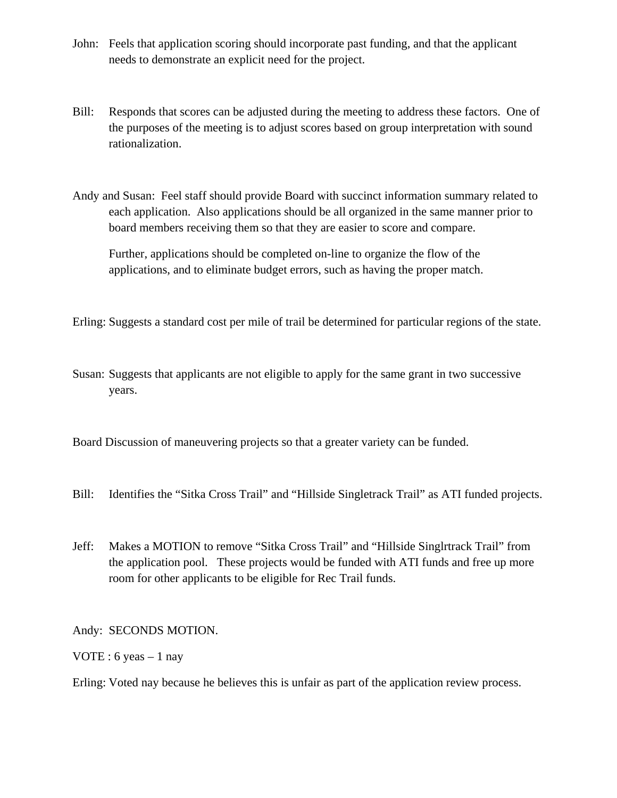- John: Feels that application scoring should incorporate past funding, and that the applicant needs to demonstrate an explicit need for the project.
- Bill: Responds that scores can be adjusted during the meeting to address these factors. One of the purposes of the meeting is to adjust scores based on group interpretation with sound rationalization.
- Andy and Susan: Feel staff should provide Board with succinct information summary related to each application. Also applications should be all organized in the same manner prior to board members receiving them so that they are easier to score and compare.

 Further, applications should be completed on-line to organize the flow of the applications, and to eliminate budget errors, such as having the proper match.

Erling: Suggests a standard cost per mile of trail be determined for particular regions of the state.

Susan: Suggests that applicants are not eligible to apply for the same grant in two successive years.

Board Discussion of maneuvering projects so that a greater variety can be funded.

- Bill: Identifies the "Sitka Cross Trail" and "Hillside Singletrack Trail" as ATI funded projects.
- Jeff: Makes a MOTION to remove "Sitka Cross Trail" and "Hillside Singlrtrack Trail" from the application pool. These projects would be funded with ATI funds and free up more room for other applicants to be eligible for Rec Trail funds.

Andy: SECONDS MOTION.

VOTE : 6 yeas  $-1$  nay

Erling: Voted nay because he believes this is unfair as part of the application review process.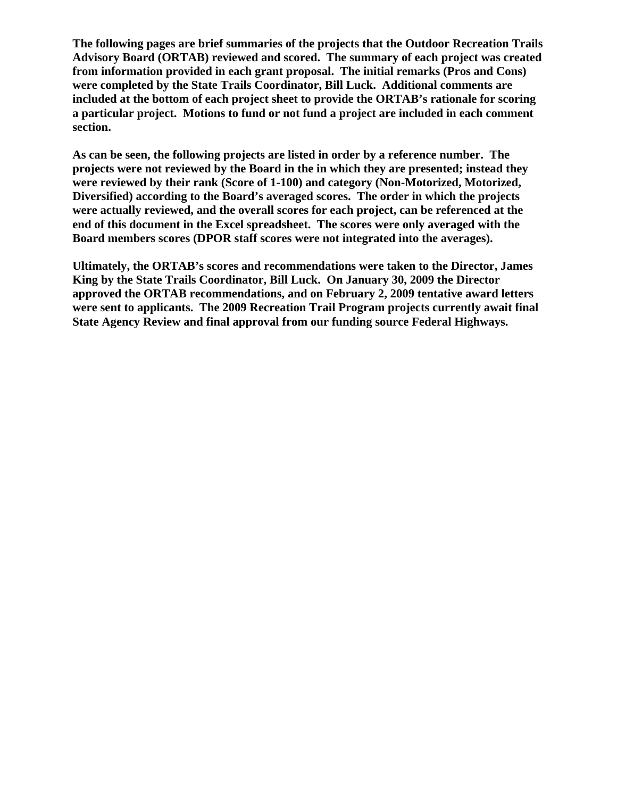**The following pages are brief summaries of the projects that the Outdoor Recreation Trails Advisory Board (ORTAB) reviewed and scored. The summary of each project was created from information provided in each grant proposal. The initial remarks (Pros and Cons) were completed by the State Trails Coordinator, Bill Luck. Additional comments are included at the bottom of each project sheet to provide the ORTAB's rationale for scoring a particular project. Motions to fund or not fund a project are included in each comment section.** 

**As can be seen, the following projects are listed in order by a reference number. The projects were not reviewed by the Board in the in which they are presented; instead they were reviewed by their rank (Score of 1-100) and category (Non-Motorized, Motorized, Diversified) according to the Board's averaged scores. The order in which the projects were actually reviewed, and the overall scores for each project, can be referenced at the end of this document in the Excel spreadsheet. The scores were only averaged with the Board members scores (DPOR staff scores were not integrated into the averages).** 

**Ultimately, the ORTAB's scores and recommendations were taken to the Director, James King by the State Trails Coordinator, Bill Luck. On January 30, 2009 the Director approved the ORTAB recommendations, and on February 2, 2009 tentative award letters were sent to applicants. The 2009 Recreation Trail Program projects currently await final State Agency Review and final approval from our funding source Federal Highways.**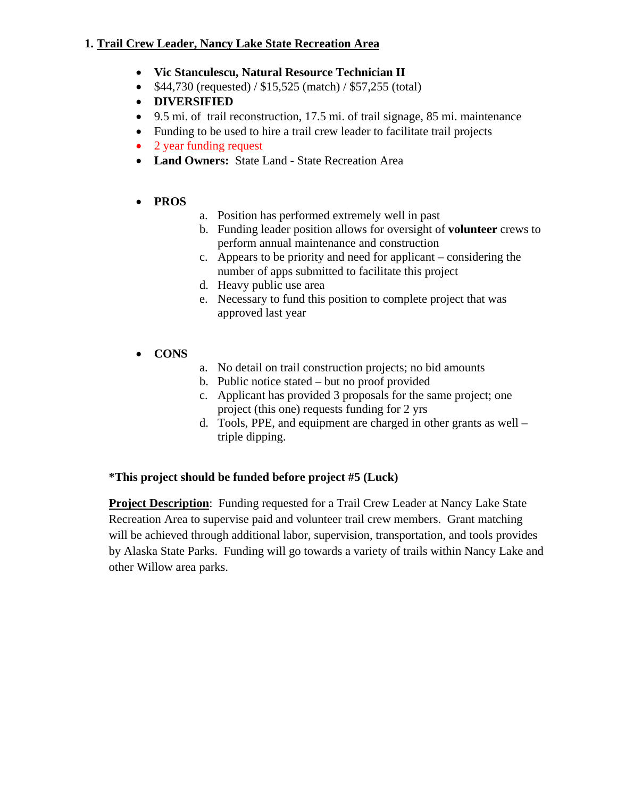### **1. Trail Crew Leader, Nancy Lake State Recreation Area**

- **Vic Stanculescu, Natural Resource Technician II**
- \$44,730 (requested) / \$15,525 (match) / \$57,255 (total)
- **DIVERSIFIED**
- 9.5 mi. of trail reconstruction, 17.5 mi. of trail signage, 85 mi. maintenance
- Funding to be used to hire a trail crew leader to facilitate trail projects
- 2 year funding request
- **Land Owners:** State Land State Recreation Area
- **PROS**
- a. Position has performed extremely well in past
- b. Funding leader position allows for oversight of **volunteer** crews to perform annual maintenance and construction
- c. Appears to be priority and need for applicant considering the number of apps submitted to facilitate this project
- d. Heavy public use area
- e. Necessary to fund this position to complete project that was approved last year
- **CONS**
- a. No detail on trail construction projects; no bid amounts
- b. Public notice stated but no proof provided
- c. Applicant has provided 3 proposals for the same project; one project (this one) requests funding for 2 yrs
- d. Tools, PPE, and equipment are charged in other grants as well triple dipping.

## **\*This project should be funded before project #5 (Luck)**

**Project Description**: Funding requested for a Trail Crew Leader at Nancy Lake State Recreation Area to supervise paid and volunteer trail crew members. Grant matching will be achieved through additional labor, supervision, transportation, and tools provides by Alaska State Parks. Funding will go towards a variety of trails within Nancy Lake and other Willow area parks.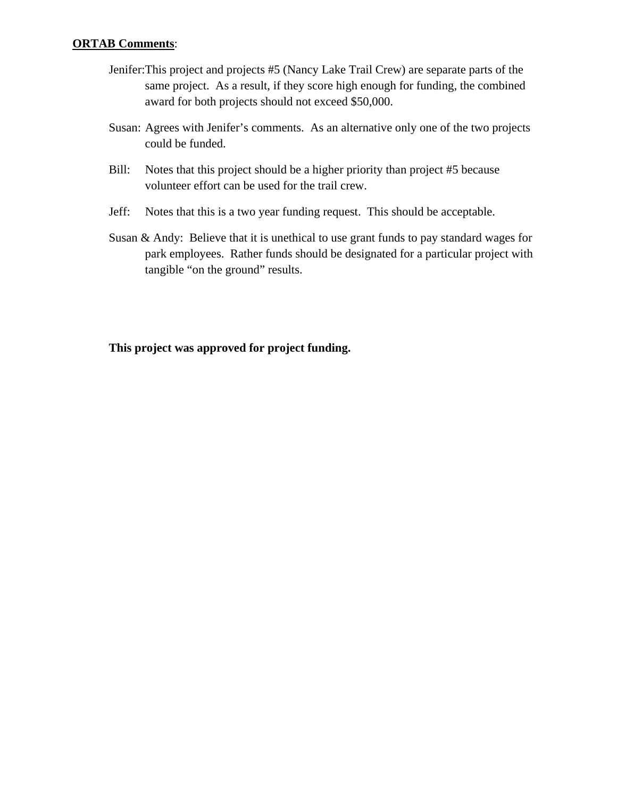#### **ORTAB Comments**:

- Jenifer:This project and projects #5 (Nancy Lake Trail Crew) are separate parts of the same project. As a result, if they score high enough for funding, the combined award for both projects should not exceed \$50,000.
- Susan: Agrees with Jenifer's comments. As an alternative only one of the two projects could be funded.
- Bill: Notes that this project should be a higher priority than project #5 because volunteer effort can be used for the trail crew.
- Jeff: Notes that this is a two year funding request. This should be acceptable.
- Susan & Andy: Believe that it is unethical to use grant funds to pay standard wages for park employees. Rather funds should be designated for a particular project with tangible "on the ground" results.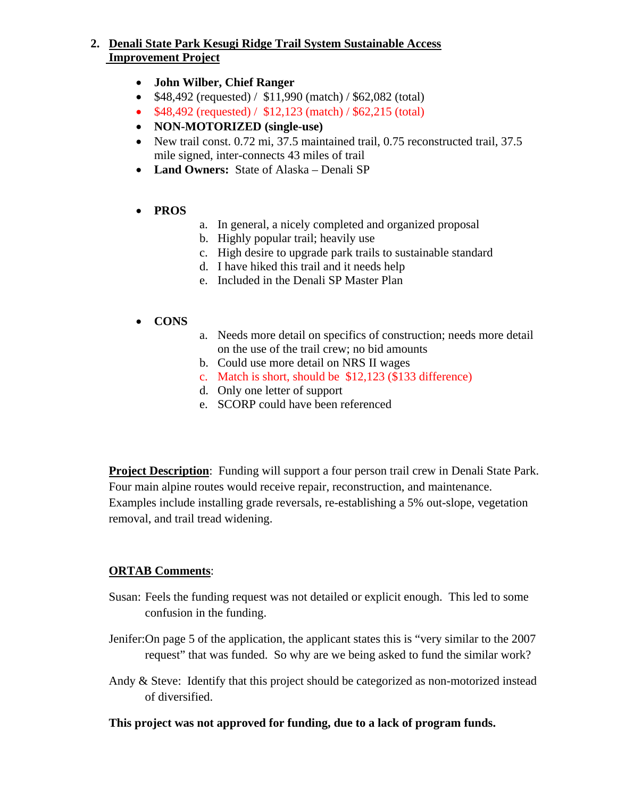### **2. Denali State Park Kesugi Ridge Trail System Sustainable Access Improvement Project**

- **John Wilber, Chief Ranger**
- \$48,492 (requested) / \$11,990 (match) / \$62,082 (total)
- \$48,492 (requested) / \$12,123 (match) / \$62,215 (total)
- **NON-MOTORIZED (single-use)**
- New trail const. 0.72 mi, 37.5 maintained trail, 0.75 reconstructed trail, 37.5 mile signed, inter-connects 43 miles of trail
- **Land Owners:** State of Alaska Denali SP

### • **PROS**

- a. In general, a nicely completed and organized proposal
- b. Highly popular trail; heavily use
- c. High desire to upgrade park trails to sustainable standard
- d. I have hiked this trail and it needs help
- e. Included in the Denali SP Master Plan

### • **CONS**

- a. Needs more detail on specifics of construction; needs more detail on the use of the trail crew; no bid amounts
- b. Could use more detail on NRS II wages
- c. Match is short, should be \$12,123 (\$133 difference)
- d. Only one letter of support
- e. SCORP could have been referenced

**Project Description**: Funding will support a four person trail crew in Denali State Park. Four main alpine routes would receive repair, reconstruction, and maintenance. Examples include installing grade reversals, re-establishing a 5% out-slope, vegetation removal, and trail tread widening.

## **ORTAB Comments**:

- Susan: Feels the funding request was not detailed or explicit enough. This led to some confusion in the funding.
- Jenifer:On page 5 of the application, the applicant states this is "very similar to the 2007 request" that was funded. So why are we being asked to fund the similar work?
- Andy & Steve: Identify that this project should be categorized as non-motorized instead of diversified.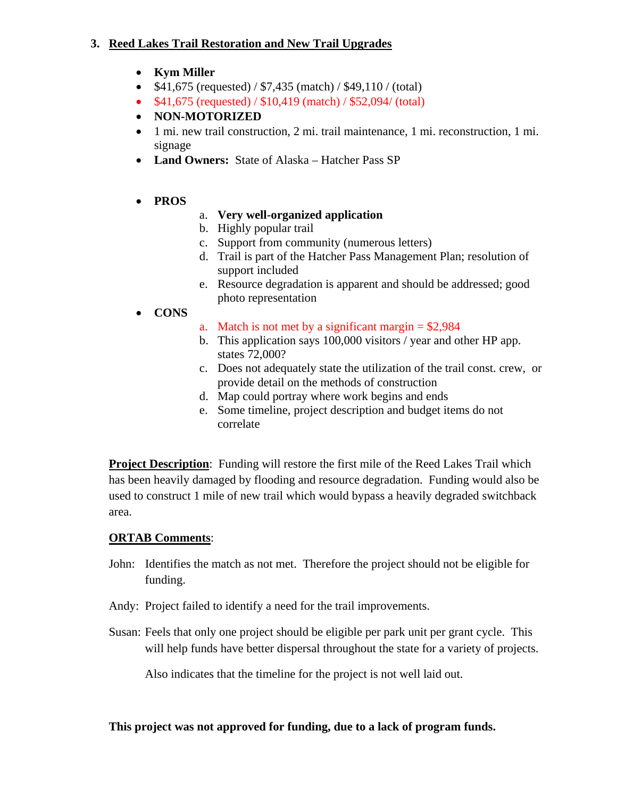### **3. Reed Lakes Trail Restoration and New Trail Upgrades**

- **Kym Miller**
- $$41,675$  (requested) /  $$7,435$  (match) /  $$49,110$  / (total)
- \$41,675 (requested) / \$10,419 (match) / \$52,094/ (total)
- **NON-MOTORIZED**
- 1 mi. new trail construction, 2 mi. trail maintenance, 1 mi. reconstruction, 1 mi. signage
- **Land Owners:** State of Alaska Hatcher Pass SP
- **PROS**
- a. **Very well-organized application**
- b. Highly popular trail
- c. Support from community (numerous letters)
- d. Trail is part of the Hatcher Pass Management Plan; resolution of support included
- e. Resource degradation is apparent and should be addressed; good photo representation
- **CONS**
- a. Match is not met by a significant margin  $=$  \$2,984
- b. This application says 100,000 visitors / year and other HP app. states 72,000?
- c. Does not adequately state the utilization of the trail const. crew, or provide detail on the methods of construction
- d. Map could portray where work begins and ends
- e. Some timeline, project description and budget items do not correlate

**Project Description:** Funding will restore the first mile of the Reed Lakes Trail which has been heavily damaged by flooding and resource degradation. Funding would also be used to construct 1 mile of new trail which would bypass a heavily degraded switchback area.

## **ORTAB Comments**:

- John: Identifies the match as not met. Therefore the project should not be eligible for funding.
- Andy: Project failed to identify a need for the trail improvements.
- Susan: Feels that only one project should be eligible per park unit per grant cycle. This will help funds have better dispersal throughout the state for a variety of projects.

Also indicates that the timeline for the project is not well laid out.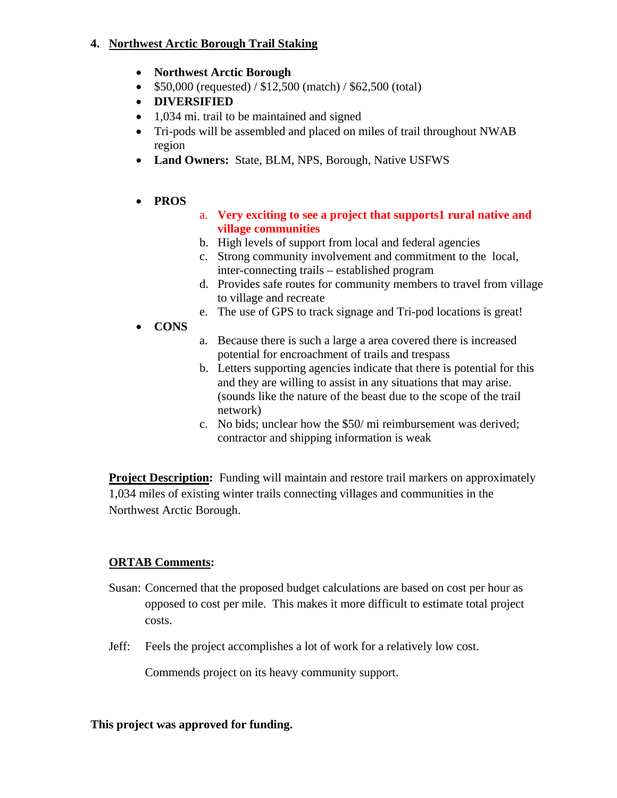### **4. Northwest Arctic Borough Trail Staking**

- **Northwest Arctic Borough**
- \$50,000 (requested) / \$12,500 (match) / \$62,500 (total)
- **DIVERSIFIED**
- 1,034 mi. trail to be maintained and signed
- Tri-pods will be assembled and placed on miles of trail throughout NWAB region
- **Land Owners:** State, BLM, NPS, Borough, Native USFWS
- **PROS**
- a. **Very exciting to see a project that supports1 rural native and village communities**
- b. High levels of support from local and federal agencies
- c. Strong community involvement and commitment to the local, inter-connecting trails – established program
- d. Provides safe routes for community members to travel from village to village and recreate
- e. The use of GPS to track signage and Tri-pod locations is great!
- **CONS**
- a. Because there is such a large a area covered there is increased potential for encroachment of trails and trespass
- b. Letters supporting agencies indicate that there is potential for this and they are willing to assist in any situations that may arise. (sounds like the nature of the beast due to the scope of the trail network)
- c. No bids; unclear how the \$50/ mi reimbursement was derived; contractor and shipping information is weak

**Project Description:** Funding will maintain and restore trail markers on approximately 1,034 miles of existing winter trails connecting villages and communities in the Northwest Arctic Borough.

# **ORTAB Comments:**

- Susan: Concerned that the proposed budget calculations are based on cost per hour as opposed to cost per mile. This makes it more difficult to estimate total project costs.
- Jeff: Feels the project accomplishes a lot of work for a relatively low cost.

Commends project on its heavy community support.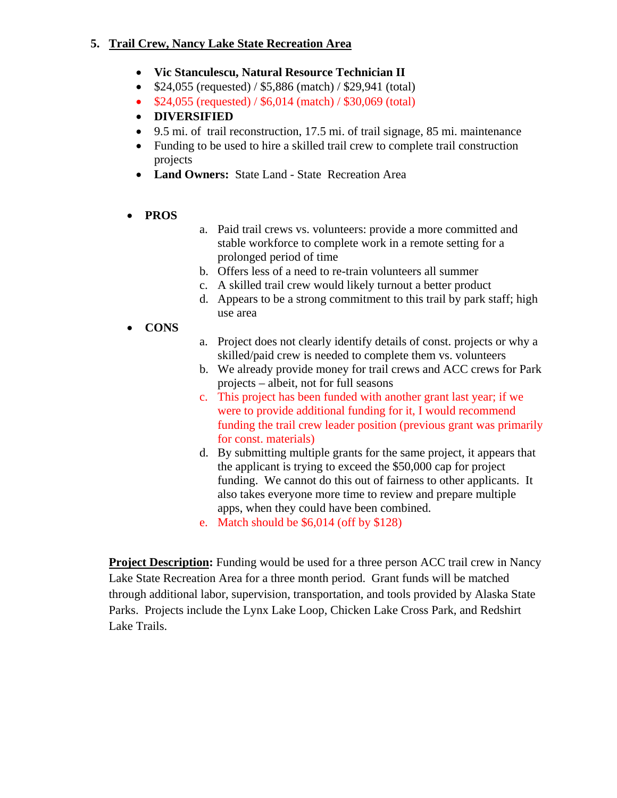### **5. Trail Crew, Nancy Lake State Recreation Area**

- **Vic Stanculescu, Natural Resource Technician II**
- \$24,055 (requested) / \$5,886 (match) / \$29,941 (total)
- \$24,055 (requested) / \$6,014 (match) / \$30,069 (total)
- **DIVERSIFIED**
- 9.5 mi. of trail reconstruction, 17.5 mi. of trail signage, 85 mi. maintenance
- Funding to be used to hire a skilled trail crew to complete trail construction projects
- **Land Owners:** State Land State Recreation Area
- **PROS**
- a. Paid trail crews vs. volunteers: provide a more committed and stable workforce to complete work in a remote setting for a prolonged period of time
- b. Offers less of a need to re-train volunteers all summer
- c. A skilled trail crew would likely turnout a better product
- d. Appears to be a strong commitment to this trail by park staff; high use area
- **CONS**
- a. Project does not clearly identify details of const. projects or why a skilled/paid crew is needed to complete them vs. volunteers
- b. We already provide money for trail crews and ACC crews for Park projects – albeit, not for full seasons
- c. This project has been funded with another grant last year; if we were to provide additional funding for it, I would recommend funding the trail crew leader position (previous grant was primarily for const. materials)
- d. By submitting multiple grants for the same project, it appears that the applicant is trying to exceed the \$50,000 cap for project funding. We cannot do this out of fairness to other applicants. It also takes everyone more time to review and prepare multiple apps, when they could have been combined.
- e. Match should be \$6,014 (off by \$128)

**Project Description:** Funding would be used for a three person ACC trail crew in Nancy Lake State Recreation Area for a three month period. Grant funds will be matched through additional labor, supervision, transportation, and tools provided by Alaska State Parks. Projects include the Lynx Lake Loop, Chicken Lake Cross Park, and Redshirt Lake Trails.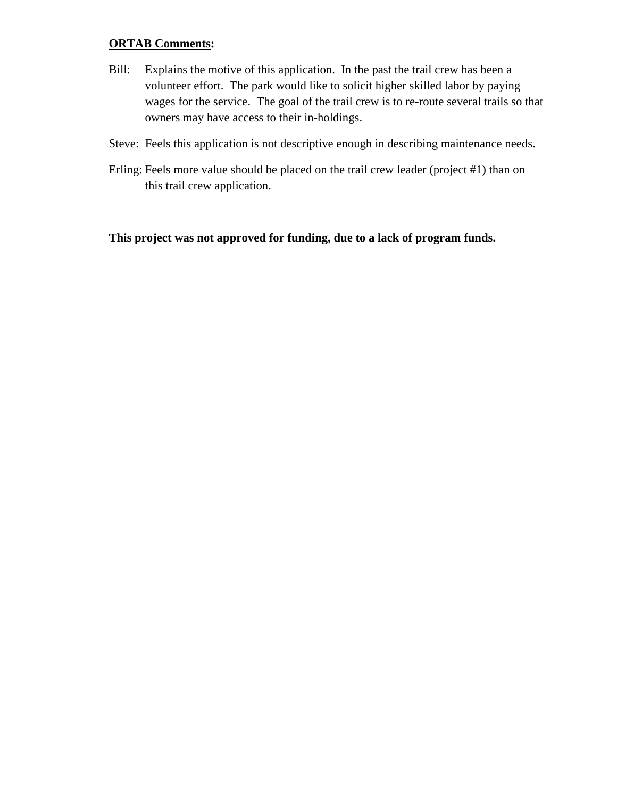#### **ORTAB Comments:**

- Bill: Explains the motive of this application. In the past the trail crew has been a volunteer effort. The park would like to solicit higher skilled labor by paying wages for the service. The goal of the trail crew is to re-route several trails so that owners may have access to their in-holdings.
- Steve: Feels this application is not descriptive enough in describing maintenance needs.
- Erling: Feels more value should be placed on the trail crew leader (project #1) than on this trail crew application.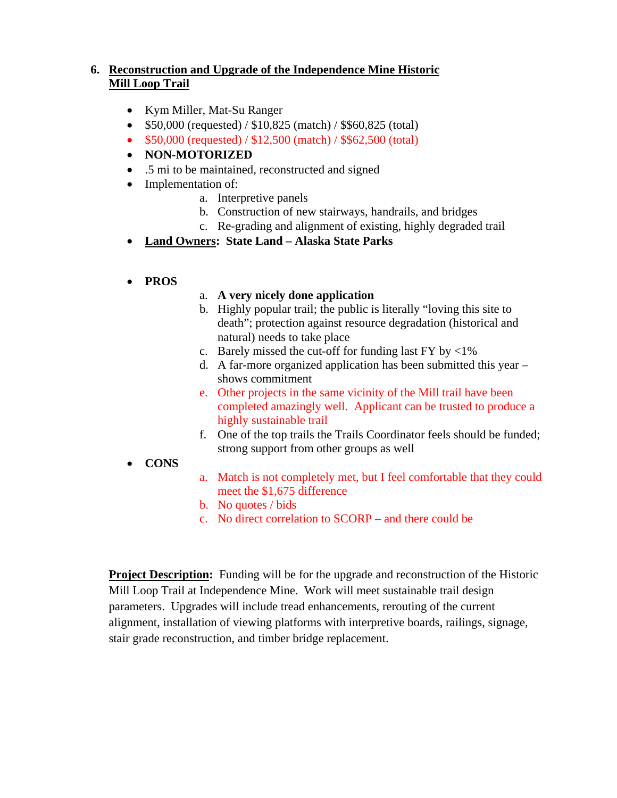## **6. Reconstruction and Upgrade of the Independence Mine Historic Mill Loop Trail**

- Kym Miller, Mat-Su Ranger
- $$50,000$  (requested) /  $$10,825$  (match) /  $$60,825$  (total)
- \$50,000 (requested) / \$12,500 (match) / \$\$62,500 (total)
- **NON-MOTORIZED**
- .5 mi to be maintained, reconstructed and signed
- Implementation of:
	- a. Interpretive panels
	- b. Construction of new stairways, handrails, and bridges
	- c. Re-grading and alignment of existing, highly degraded trail
- **Land Owners: State Land Alaska State Parks**
- **PROS**

#### a. **A very nicely done application**

- b. Highly popular trail; the public is literally "loving this site to death"; protection against resource degradation (historical and natural) needs to take place
- c. Barely missed the cut-off for funding last  $FY$  by  $\langle 1\% \rangle$
- d. A far-more organized application has been submitted this year shows commitment
- e. Other projects in the same vicinity of the Mill trail have been completed amazingly well. Applicant can be trusted to produce a highly sustainable trail
- f. One of the top trails the Trails Coordinator feels should be funded; strong support from other groups as well
- **CONS**
- a. Match is not completely met, but I feel comfortable that they could meet the \$1,675 difference
- b. No quotes / bids
- c. No direct correlation to SCORP and there could be

**Project Description:** Funding will be for the upgrade and reconstruction of the Historic Mill Loop Trail at Independence Mine. Work will meet sustainable trail design parameters. Upgrades will include tread enhancements, rerouting of the current alignment, installation of viewing platforms with interpretive boards, railings, signage, stair grade reconstruction, and timber bridge replacement.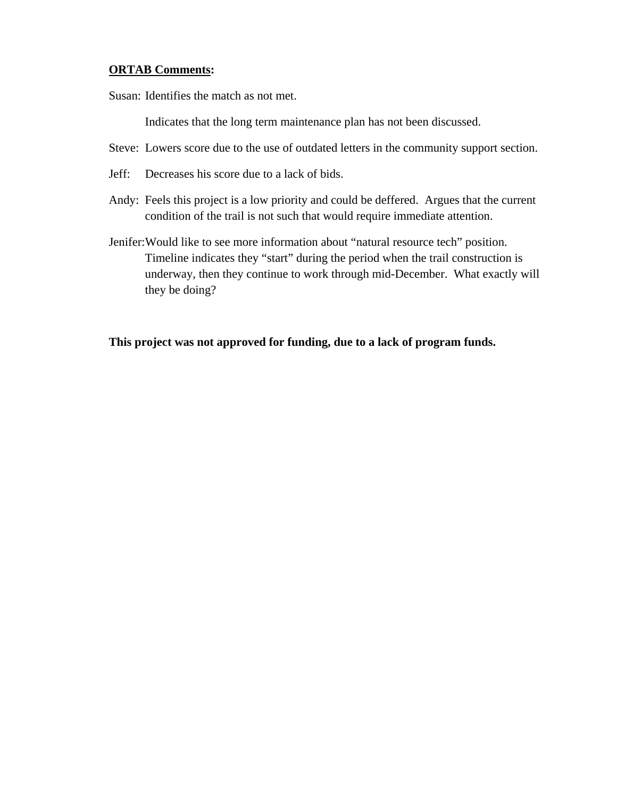#### **ORTAB Comments:**

Susan: Identifies the match as not met.

Indicates that the long term maintenance plan has not been discussed.

- Steve: Lowers score due to the use of outdated letters in the community support section.
- Jeff: Decreases his score due to a lack of bids.
- Andy: Feels this project is a low priority and could be deffered. Argues that the current condition of the trail is not such that would require immediate attention.
- Jenifer:Would like to see more information about "natural resource tech" position. Timeline indicates they "start" during the period when the trail construction is underway, then they continue to work through mid-December. What exactly will they be doing?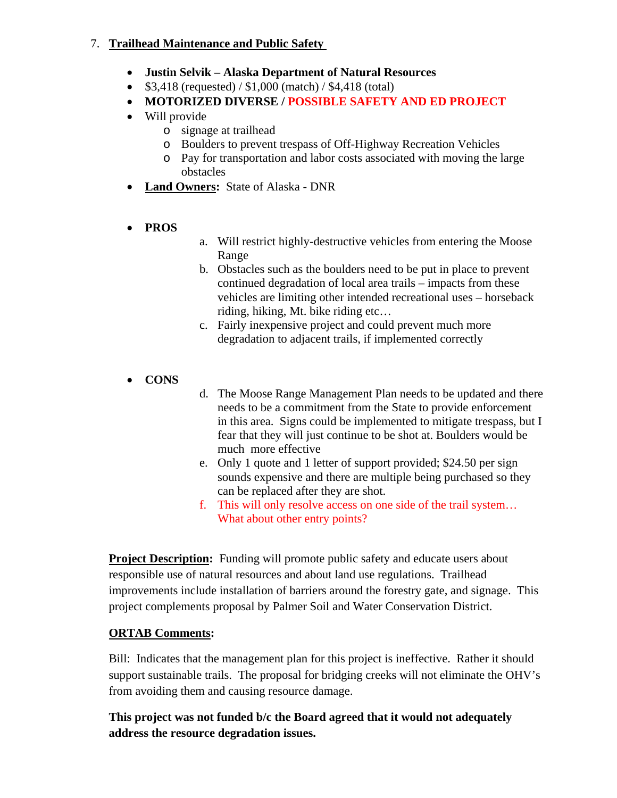### 7. **Trailhead Maintenance and Public Safety**

- **Justin Selvik Alaska Department of Natural Resources**
- $$3,418$  (requested) /  $$1,000$  (match) /  $$4,418$  (total)
- **MOTORIZED DIVERSE / POSSIBLE SAFETY AND ED PROJECT**
- Will provide
	- o signage at trailhead
	- o Boulders to prevent trespass of Off-Highway Recreation Vehicles
	- o Pay for transportation and labor costs associated with moving the large obstacles
- **Land Owners:** State of Alaska DNR
- **PROS**
- a. Will restrict highly-destructive vehicles from entering the Moose Range
- b. Obstacles such as the boulders need to be put in place to prevent continued degradation of local area trails – impacts from these vehicles are limiting other intended recreational uses – horseback riding, hiking, Mt. bike riding etc…
- c. Fairly inexpensive project and could prevent much more degradation to adjacent trails, if implemented correctly
- **CONS**
- d. The Moose Range Management Plan needs to be updated and there needs to be a commitment from the State to provide enforcement in this area. Signs could be implemented to mitigate trespass, but I fear that they will just continue to be shot at. Boulders would be much more effective
- e. Only 1 quote and 1 letter of support provided; \$24.50 per sign sounds expensive and there are multiple being purchased so they can be replaced after they are shot.
- f. This will only resolve access on one side of the trail system… What about other entry points?

**Project Description:** Funding will promote public safety and educate users about responsible use of natural resources and about land use regulations. Trailhead improvements include installation of barriers around the forestry gate, and signage. This project complements proposal by Palmer Soil and Water Conservation District.

## **ORTAB Comments:**

Bill: Indicates that the management plan for this project is ineffective. Rather it should support sustainable trails. The proposal for bridging creeks will not eliminate the OHV's from avoiding them and causing resource damage.

**This project was not funded b/c the Board agreed that it would not adequately address the resource degradation issues.**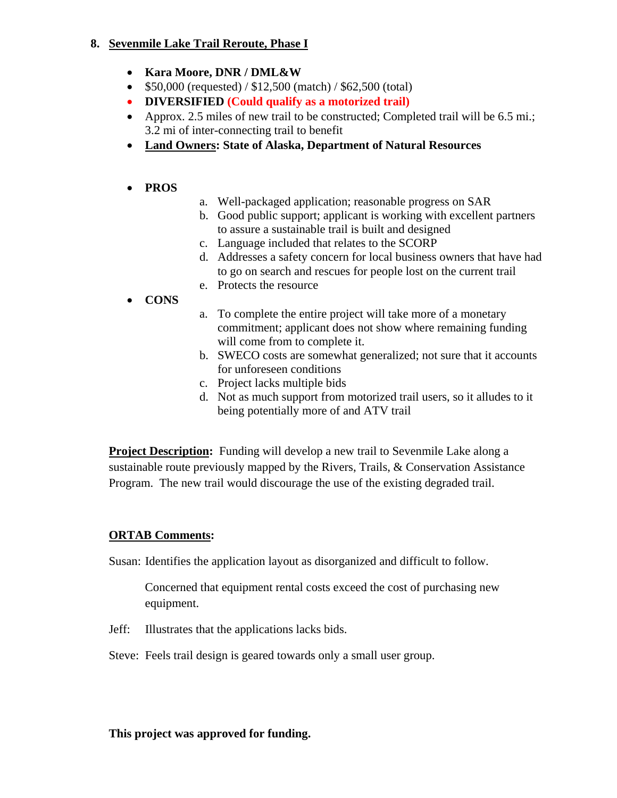### **8. Sevenmile Lake Trail Reroute, Phase I**

- **Kara Moore, DNR / DML&W**
- $$50,000$  (requested) /  $$12,500$  (match) /  $$62,500$  (total)
- **DIVERSIFIED (Could qualify as a motorized trail)**
- Approx. 2.5 miles of new trail to be constructed; Completed trail will be 6.5 mi.; 3.2 mi of inter-connecting trail to benefit
- **Land Owners: State of Alaska, Department of Natural Resources**

## • **PROS**

- a. Well-packaged application; reasonable progress on SAR
- b. Good public support; applicant is working with excellent partners to assure a sustainable trail is built and designed
- c. Language included that relates to the SCORP
- d. Addresses a safety concern for local business owners that have had to go on search and rescues for people lost on the current trail
- e. Protects the resource
- **CONS**
- a. To complete the entire project will take more of a monetary commitment; applicant does not show where remaining funding will come from to complete it.
- b. SWECO costs are somewhat generalized; not sure that it accounts for unforeseen conditions
- c. Project lacks multiple bids
- d. Not as much support from motorized trail users, so it alludes to it being potentially more of and ATV trail

**Project Description:** Funding will develop a new trail to Sevenmile Lake along a sustainable route previously mapped by the Rivers, Trails, & Conservation Assistance Program. The new trail would discourage the use of the existing degraded trail.

## **ORTAB Comments:**

Susan: Identifies the application layout as disorganized and difficult to follow.

Concerned that equipment rental costs exceed the cost of purchasing new equipment.

Jeff: Illustrates that the applications lacks bids.

Steve: Feels trail design is geared towards only a small user group.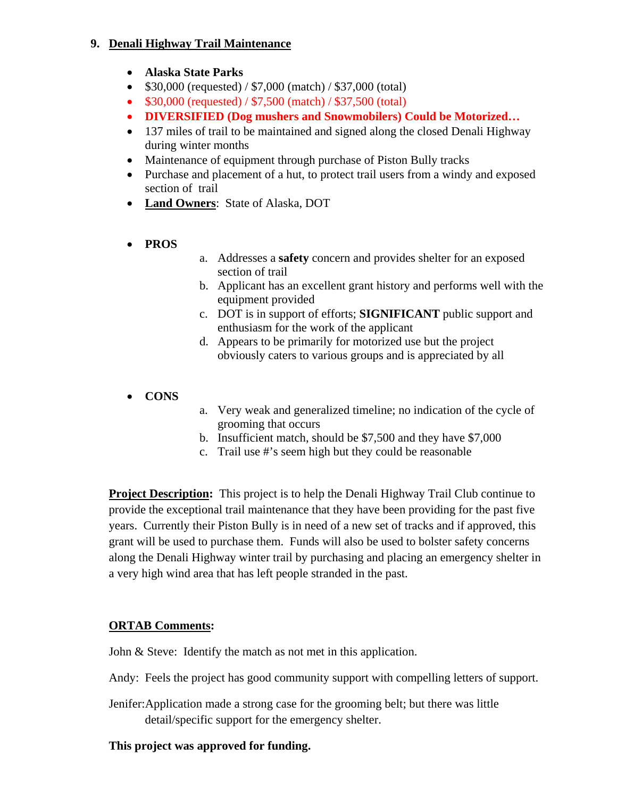### **9. Denali Highway Trail Maintenance**

- **Alaska State Parks**
- \$30,000 (requested) / \$7,000 (match) / \$37,000 (total)
- \$30,000 (requested) / \$7,500 (match) / \$37,500 (total)
- **DIVERSIFIED (Dog mushers and Snowmobilers) Could be Motorized…**
- 137 miles of trail to be maintained and signed along the closed Denali Highway during winter months
- Maintenance of equipment through purchase of Piston Bully tracks
- Purchase and placement of a hut, to protect trail users from a windy and exposed section of trail
- **Land Owners**: State of Alaska, DOT
- **PROS**
- a. Addresses a **safety** concern and provides shelter for an exposed section of trail
- b. Applicant has an excellent grant history and performs well with the equipment provided
- c. DOT is in support of efforts; **SIGNIFICANT** public support and enthusiasm for the work of the applicant
- d. Appears to be primarily for motorized use but the project obviously caters to various groups and is appreciated by all
- **CONS**
- a. Very weak and generalized timeline; no indication of the cycle of grooming that occurs
- b. Insufficient match, should be \$7,500 and they have \$7,000
- c. Trail use #'s seem high but they could be reasonable

**Project Description:** This project is to help the Denali Highway Trail Club continue to provide the exceptional trail maintenance that they have been providing for the past five years. Currently their Piston Bully is in need of a new set of tracks and if approved, this grant will be used to purchase them. Funds will also be used to bolster safety concerns along the Denali Highway winter trail by purchasing and placing an emergency shelter in a very high wind area that has left people stranded in the past.

## **ORTAB Comments:**

John & Steve: Identify the match as not met in this application.

- Andy: Feels the project has good community support with compelling letters of support.
- Jenifer:Application made a strong case for the grooming belt; but there was little detail/specific support for the emergency shelter.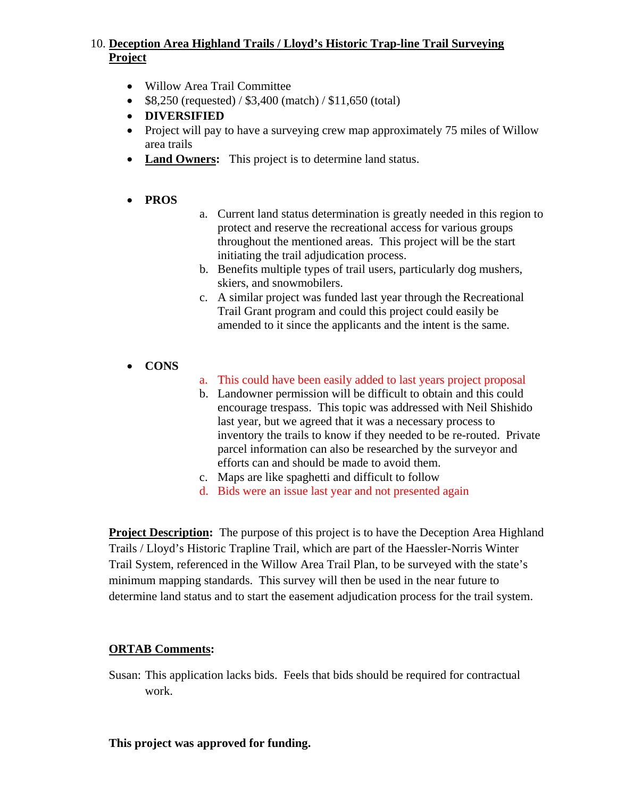### 10. **Deception Area Highland Trails / Lloyd's Historic Trap-line Trail Surveying Project**

- Willow Area Trail Committee
- $$8,250$  (requested) /  $$3,400$  (match) /  $$11,650$  (total)
- **DIVERSIFIED**
- Project will pay to have a surveying crew map approximately 75 miles of Willow area trails
- **Land Owners:** This project is to determine land status.
- **PROS**
- a. Current land status determination is greatly needed in this region to protect and reserve the recreational access for various groups throughout the mentioned areas. This project will be the start initiating the trail adjudication process.
- b. Benefits multiple types of trail users, particularly dog mushers, skiers, and snowmobilers.
- c. A similar project was funded last year through the Recreational Trail Grant program and could this project could easily be amended to it since the applicants and the intent is the same.
- **CONS**
- a. This could have been easily added to last years project proposal
- b. Landowner permission will be difficult to obtain and this could encourage trespass. This topic was addressed with Neil Shishido last year, but we agreed that it was a necessary process to inventory the trails to know if they needed to be re-routed. Private parcel information can also be researched by the surveyor and efforts can and should be made to avoid them.
- c. Maps are like spaghetti and difficult to follow
- d. Bids were an issue last year and not presented again

**Project Description:** The purpose of this project is to have the Deception Area Highland Trails / Lloyd's Historic Trapline Trail, which are part of the Haessler-Norris Winter Trail System, referenced in the Willow Area Trail Plan, to be surveyed with the state's minimum mapping standards. This survey will then be used in the near future to determine land status and to start the easement adjudication process for the trail system.

### **ORTAB Comments:**

Susan: This application lacks bids. Feels that bids should be required for contractual work.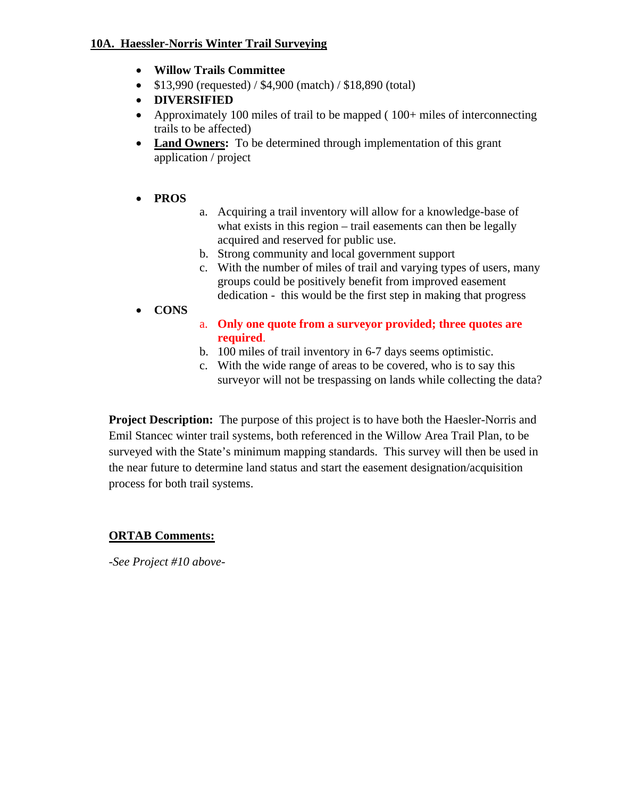### **10A. Haessler-Norris Winter Trail Surveying**

- **Willow Trails Committee**
- \$13,990 (requested) / \$4,900 (match) / \$18,890 (total)
- **DIVERSIFIED**
- Approximately 100 miles of trail to be mapped (100+ miles of interconnecting trails to be affected)
- **Land Owners:** To be determined through implementation of this grant application / project

## • **PROS**

- a. Acquiring a trail inventory will allow for a knowledge-base of what exists in this region – trail easements can then be legally acquired and reserved for public use.
- b. Strong community and local government support
- c. With the number of miles of trail and varying types of users, many groups could be positively benefit from improved easement dedication - this would be the first step in making that progress
- **CONS**
- a. **Only one quote from a surveyor provided; three quotes are required**.
- b. 100 miles of trail inventory in 6-7 days seems optimistic.
- c. With the wide range of areas to be covered, who is to say this surveyor will not be trespassing on lands while collecting the data?

**Project Description:** The purpose of this project is to have both the Haesler-Norris and Emil Stancec winter trail systems, both referenced in the Willow Area Trail Plan, to be surveyed with the State's minimum mapping standards. This survey will then be used in the near future to determine land status and start the easement designation/acquisition process for both trail systems.

## **ORTAB Comments:**

*-See Project #10 above-*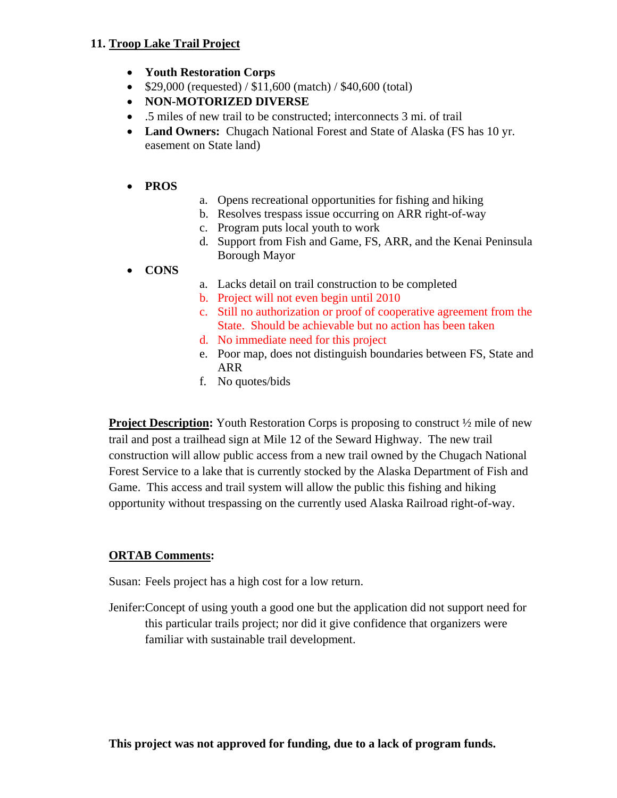### **11. Troop Lake Trail Project**

- **Youth Restoration Corps**
- $$29,000$  (requested) /  $$11,600$  (match) /  $$40,600$  (total)
- **NON-MOTORIZED DIVERSE**
- .5 miles of new trail to be constructed; interconnects 3 mi. of trail
- **Land Owners:** Chugach National Forest and State of Alaska (FS has 10 yr.) easement on State land)

### • **PROS**

- a. Opens recreational opportunities for fishing and hiking
- b. Resolves trespass issue occurring on ARR right-of-way
- c. Program puts local youth to work
- d. Support from Fish and Game, FS, ARR, and the Kenai Peninsula Borough Mayor

### • **CONS**

- a. Lacks detail on trail construction to be completed
- b. Project will not even begin until 2010
- c. Still no authorization or proof of cooperative agreement from the State. Should be achievable but no action has been taken
- d. No immediate need for this project
- e. Poor map, does not distinguish boundaries between FS, State and ARR
- f. No quotes/bids

**Project Description:** Youth Restoration Corps is proposing to construct  $\frac{1}{2}$  mile of new trail and post a trailhead sign at Mile 12 of the Seward Highway. The new trail construction will allow public access from a new trail owned by the Chugach National Forest Service to a lake that is currently stocked by the Alaska Department of Fish and Game. This access and trail system will allow the public this fishing and hiking opportunity without trespassing on the currently used Alaska Railroad right-of-way.

## **ORTAB Comments:**

Susan: Feels project has a high cost for a low return.

Jenifer:Concept of using youth a good one but the application did not support need for this particular trails project; nor did it give confidence that organizers were familiar with sustainable trail development.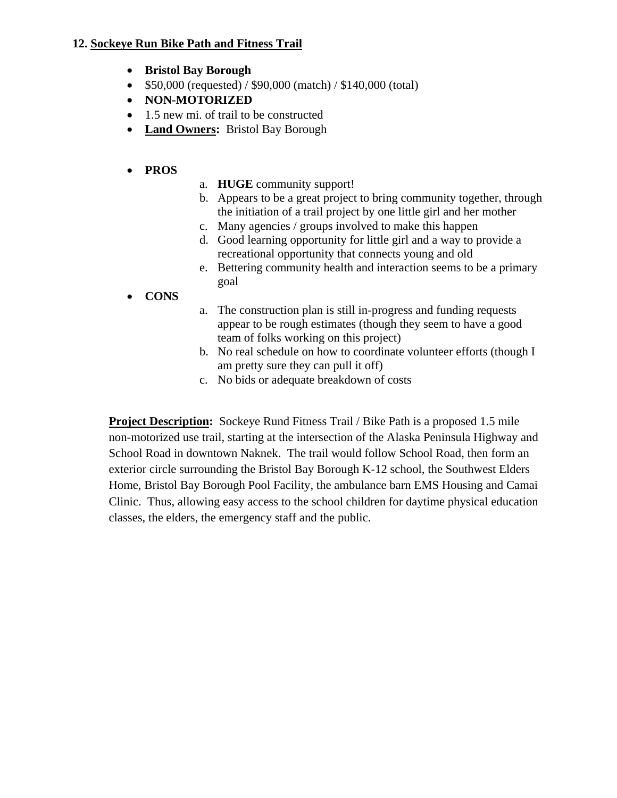### **12. Sockeye Run Bike Path and Fitness Trail**

- **Bristol Bay Borough**
- \$50,000 (requested) / \$90,000 (match) / \$140,000 (total)
- **NON-MOTORIZED**
- 1.5 new mi. of trail to be constructed
- **Land Owners:** Bristol Bay Borough

### • **PROS**

- a. **HUGE** community support!
- b. Appears to be a great project to bring community together, through the initiation of a trail project by one little girl and her mother
- c. Many agencies / groups involved to make this happen
- d. Good learning opportunity for little girl and a way to provide a recreational opportunity that connects young and old
- e. Bettering community health and interaction seems to be a primary goal
- **CONS**
- a. The construction plan is still in-progress and funding requests appear to be rough estimates (though they seem to have a good team of folks working on this project)
- b. No real schedule on how to coordinate volunteer efforts (though I am pretty sure they can pull it off)
- c. No bids or adequate breakdown of costs

**Project Description:** Sockeye Rund Fitness Trail / Bike Path is a proposed 1.5 mile non-motorized use trail, starting at the intersection of the Alaska Peninsula Highway and School Road in downtown Naknek. The trail would follow School Road, then form an exterior circle surrounding the Bristol Bay Borough K-12 school, the Southwest Elders Home, Bristol Bay Borough Pool Facility, the ambulance barn EMS Housing and Camai Clinic. Thus, allowing easy access to the school children for daytime physical education classes, the elders, the emergency staff and the public.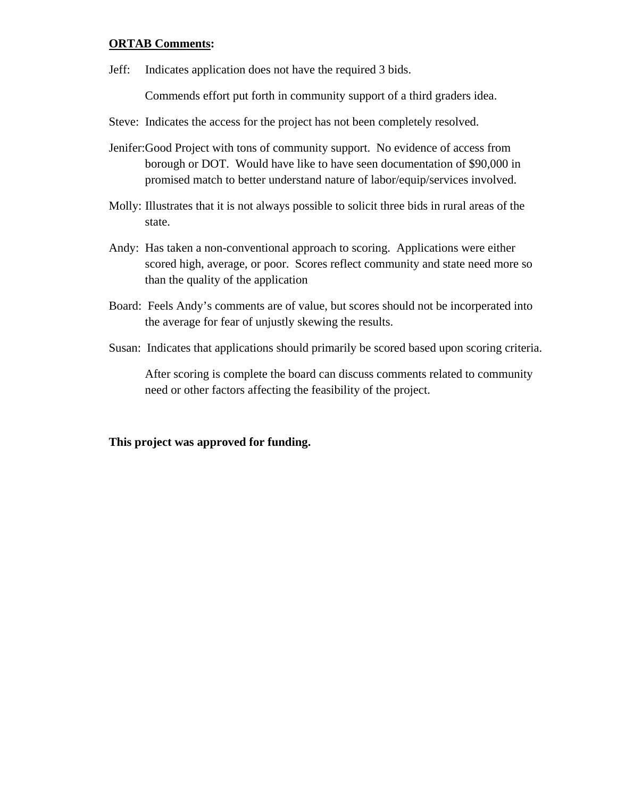#### **ORTAB Comments:**

Jeff: Indicates application does not have the required 3 bids.

Commends effort put forth in community support of a third graders idea.

- Steve: Indicates the access for the project has not been completely resolved.
- Jenifer:Good Project with tons of community support. No evidence of access from borough or DOT. Would have like to have seen documentation of \$90,000 in promised match to better understand nature of labor/equip/services involved.
- Molly: Illustrates that it is not always possible to solicit three bids in rural areas of the state.
- Andy: Has taken a non-conventional approach to scoring. Applications were either scored high, average, or poor. Scores reflect community and state need more so than the quality of the application
- Board: Feels Andy's comments are of value, but scores should not be incorperated into the average for fear of unjustly skewing the results.
- Susan: Indicates that applications should primarily be scored based upon scoring criteria.

After scoring is complete the board can discuss comments related to community need or other factors affecting the feasibility of the project.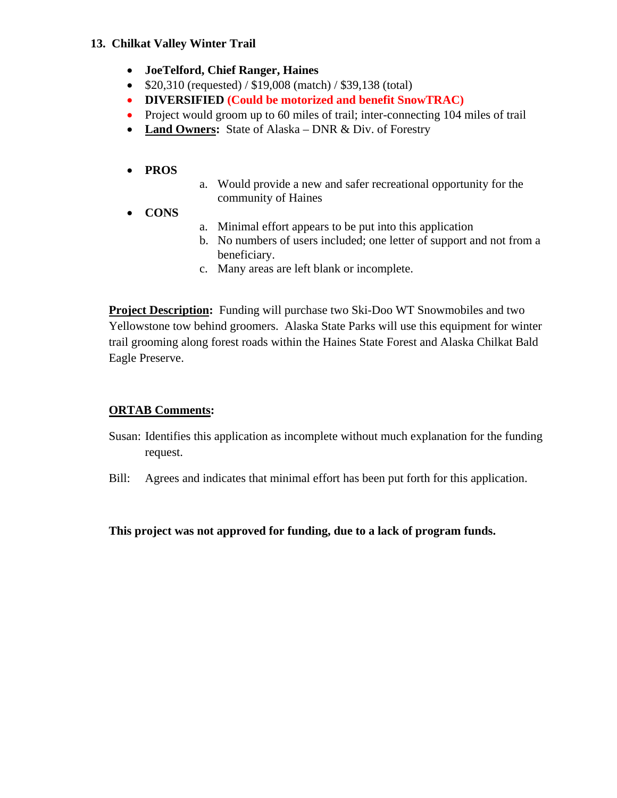### **13. Chilkat Valley Winter Trail**

- **JoeTelford, Chief Ranger, Haines**
- \$20,310 (requested) / \$19,008 (match) / \$39,138 (total)
- **DIVERSIFIED (Could be motorized and benefit SnowTRAC)**
- Project would groom up to 60 miles of trail; inter-connecting 104 miles of trail
- **Land Owners:** State of Alaska DNR & Div. of Forestry

## • **PROS**

- a. Would provide a new and safer recreational opportunity for the community of Haines
- **CONS**
- a. Minimal effort appears to be put into this application
- b. No numbers of users included; one letter of support and not from a beneficiary.
- c. Many areas are left blank or incomplete.

**Project Description:** Funding will purchase two Ski-Doo WT Snowmobiles and two Yellowstone tow behind groomers. Alaska State Parks will use this equipment for winter trail grooming along forest roads within the Haines State Forest and Alaska Chilkat Bald Eagle Preserve.

# **ORTAB Comments:**

- Susan: Identifies this application as incomplete without much explanation for the funding request.
- Bill: Agrees and indicates that minimal effort has been put forth for this application.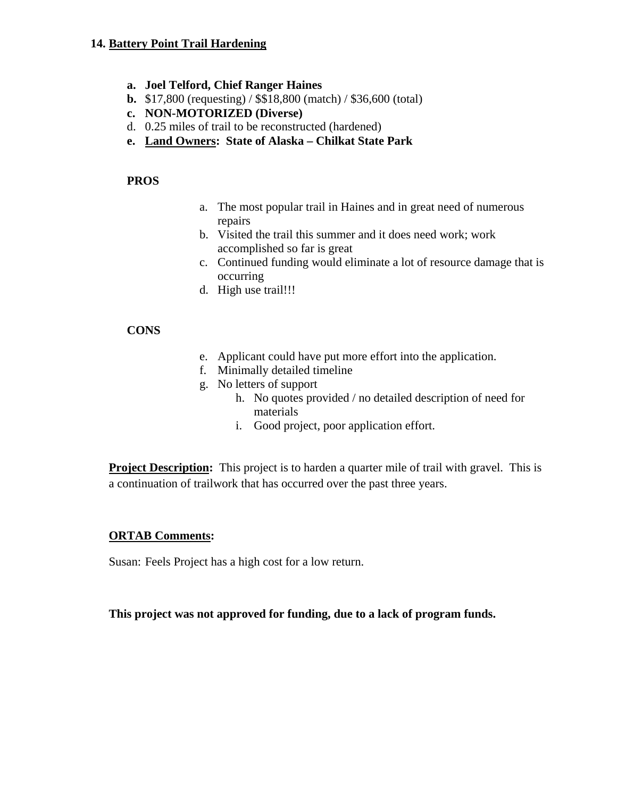#### **14. Battery Point Trail Hardening**

- **a. Joel Telford, Chief Ranger Haines**
- **b.** \$17,800 (requesting) / \$\$18,800 (match) / \$36,600 (total)
- **c. NON-MOTORIZED (Diverse)**
- d. 0.25 miles of trail to be reconstructed (hardened)
- **e. Land Owners: State of Alaska Chilkat State Park**

#### **PROS**

- a. The most popular trail in Haines and in great need of numerous repairs
- b. Visited the trail this summer and it does need work; work accomplished so far is great
- c. Continued funding would eliminate a lot of resource damage that is occurring
- d. High use trail!!!

#### **CONS**

- e. Applicant could have put more effort into the application.
- f. Minimally detailed timeline
- g. No letters of support
	- h. No quotes provided / no detailed description of need for materials
	- i. Good project, poor application effort.

**Project Description:** This project is to harden a quarter mile of trail with gravel. This is a continuation of trailwork that has occurred over the past three years.

#### **ORTAB Comments:**

Susan: Feels Project has a high cost for a low return.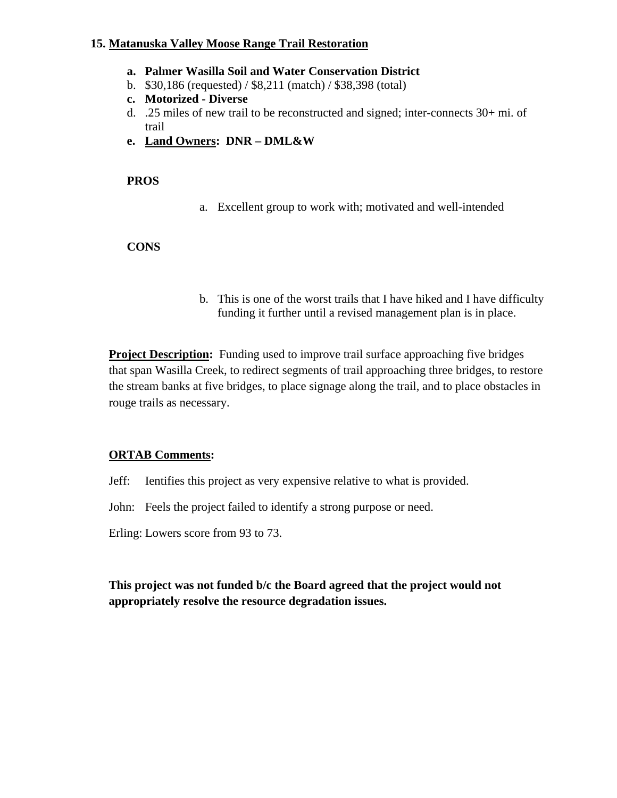#### **15. Matanuska Valley Moose Range Trail Restoration**

- **a. Palmer Wasilla Soil and Water Conservation District**
- b. \$30,186 (requested) / \$8,211 (match) / \$38,398 (total)
- **c. Motorized Diverse**
- d. .25 miles of new trail to be reconstructed and signed; inter-connects 30+ mi. of trail
- **e. Land Owners: DNR DML&W**

#### **PROS**

a. Excellent group to work with; motivated and well-intended

### **CONS**

b. This is one of the worst trails that I have hiked and I have difficulty funding it further until a revised management plan is in place.

**Project Description:** Funding used to improve trail surface approaching five bridges that span Wasilla Creek, to redirect segments of trail approaching three bridges, to restore the stream banks at five bridges, to place signage along the trail, and to place obstacles in rouge trails as necessary.

### **ORTAB Comments:**

Jeff: Ientifies this project as very expensive relative to what is provided.

John: Feels the project failed to identify a strong purpose or need.

Erling: Lowers score from 93 to 73.

**This project was not funded b/c the Board agreed that the project would not appropriately resolve the resource degradation issues.**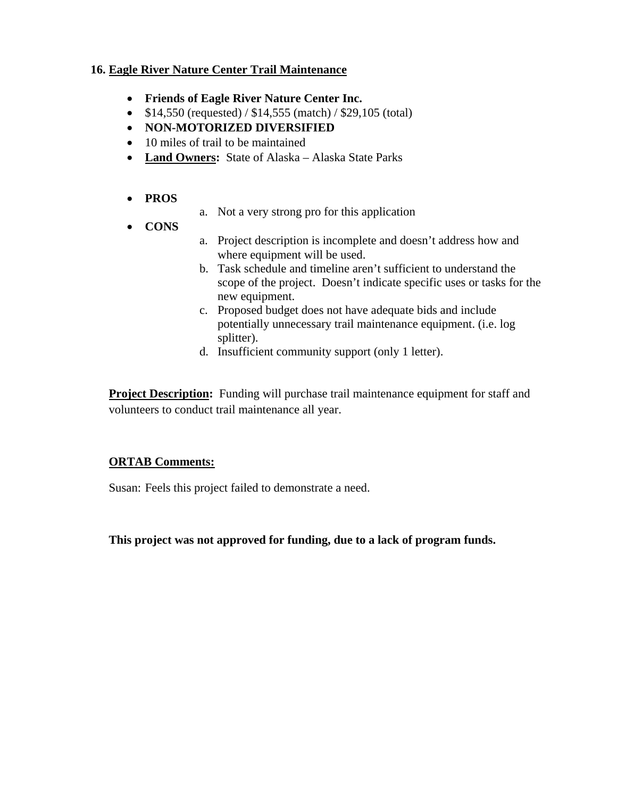### **16. Eagle River Nature Center Trail Maintenance**

- **Friends of Eagle River Nature Center Inc.**
- $$14,550$  (requested) /  $$14,555$  (match) /  $$29,105$  (total)
- **NON-MOTORIZED DIVERSIFIED**
- 10 miles of trail to be maintained
- **Land Owners:** State of Alaska Alaska State Parks
- **PROS**
- a. Not a very strong pro for this application
- **CONS**
- a. Project description is incomplete and doesn't address how and where equipment will be used.
- b. Task schedule and timeline aren't sufficient to understand the scope of the project. Doesn't indicate specific uses or tasks for the new equipment.
- c. Proposed budget does not have adequate bids and include potentially unnecessary trail maintenance equipment. (i.e. log splitter).
- d. Insufficient community support (only 1 letter).

**Project Description:** Funding will purchase trail maintenance equipment for staff and volunteers to conduct trail maintenance all year.

### **ORTAB Comments:**

Susan: Feels this project failed to demonstrate a need.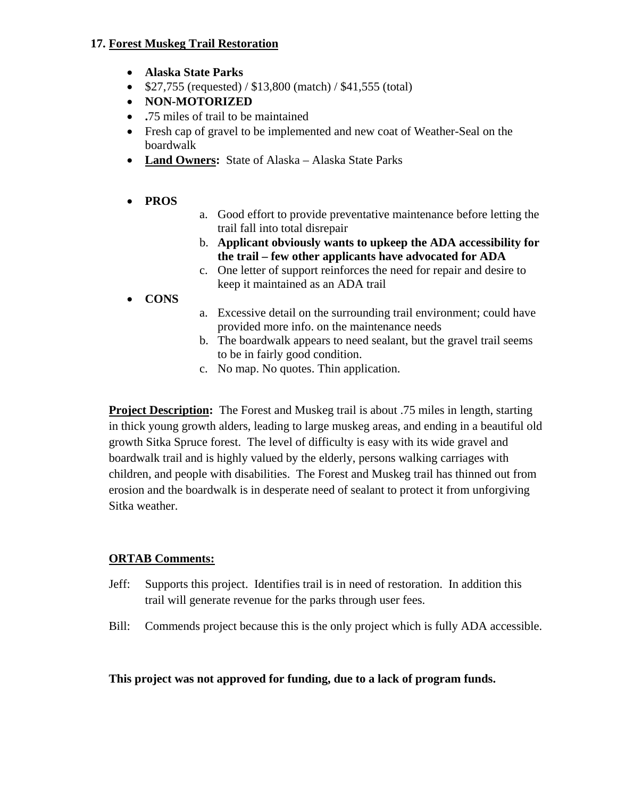### **17. Forest Muskeg Trail Restoration**

- **Alaska State Parks**
- $$27,755$  (requested) /  $$13,800$  (match) /  $$41,555$  (total)
- **NON-MOTORIZED**
- **.**75 miles of trail to be maintained
- Fresh cap of gravel to be implemented and new coat of Weather-Seal on the boardwalk
- **Land Owners:** State of Alaska Alaska State Parks
- **PROS**
- a. Good effort to provide preventative maintenance before letting the trail fall into total disrepair
- b. **Applicant obviously wants to upkeep the ADA accessibility for the trail – few other applicants have advocated for ADA**
- c. One letter of support reinforces the need for repair and desire to keep it maintained as an ADA trail
- **CONS**
- a. Excessive detail on the surrounding trail environment; could have provided more info. on the maintenance needs
- b. The boardwalk appears to need sealant, but the gravel trail seems to be in fairly good condition.
- c. No map. No quotes. Thin application.

**Project Description:** The Forest and Muskeg trail is about .75 miles in length, starting in thick young growth alders, leading to large muskeg areas, and ending in a beautiful old growth Sitka Spruce forest. The level of difficulty is easy with its wide gravel and boardwalk trail and is highly valued by the elderly, persons walking carriages with children, and people with disabilities. The Forest and Muskeg trail has thinned out from erosion and the boardwalk is in desperate need of sealant to protect it from unforgiving Sitka weather.

## **ORTAB Comments:**

- Jeff: Supports this project. Identifies trail is in need of restoration. In addition this trail will generate revenue for the parks through user fees.
- Bill: Commends project because this is the only project which is fully ADA accessible.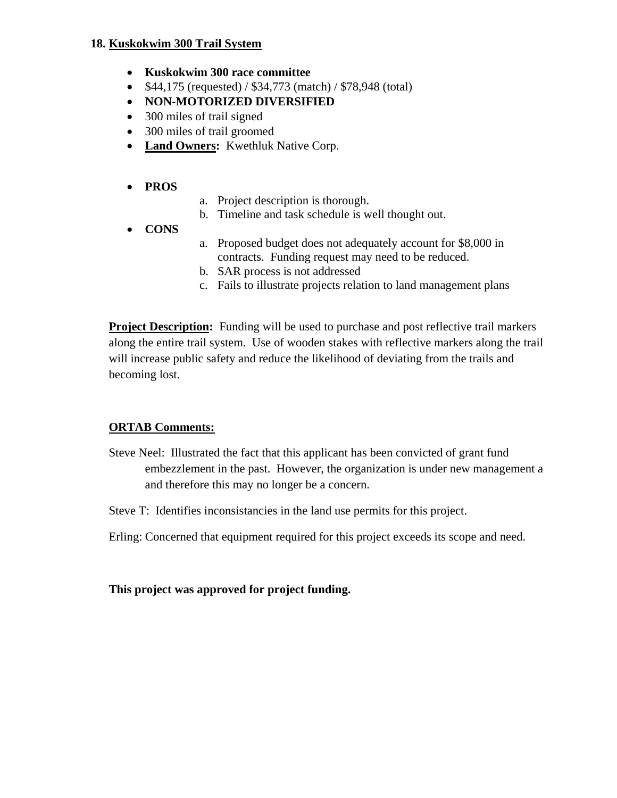#### **18. Kuskokwim 300 Trail System**

- **Kuskokwim 300 race committee**
- \$44,175 (requested) / \$34,773 (match) / \$78,948 (total)
- **NON-MOTORIZED DIVERSIFIED**
- 300 miles of trail signed
- 300 miles of trail groomed
- **Land Owners:** Kwethluk Native Corp.

### • **PROS**

- a. Project description is thorough.
- b. Timeline and task schedule is well thought out.
- **CONS**
- a. Proposed budget does not adequately account for \$8,000 in contracts. Funding request may need to be reduced.
- b. SAR process is not addressed
- c. Fails to illustrate projects relation to land management plans

**Project Description:** Funding will be used to purchase and post reflective trail markers along the entire trail system. Use of wooden stakes with reflective markers along the trail will increase public safety and reduce the likelihood of deviating from the trails and becoming lost.

### **ORTAB Comments:**

- Steve Neel: Illustrated the fact that this applicant has been convicted of grant fund embezzlement in the past. However, the organization is under new management a and therefore this may no longer be a concern.
- Steve T: Identifies inconsistancies in the land use permits for this project.

Erling: Concerned that equipment required for this project exceeds its scope and need.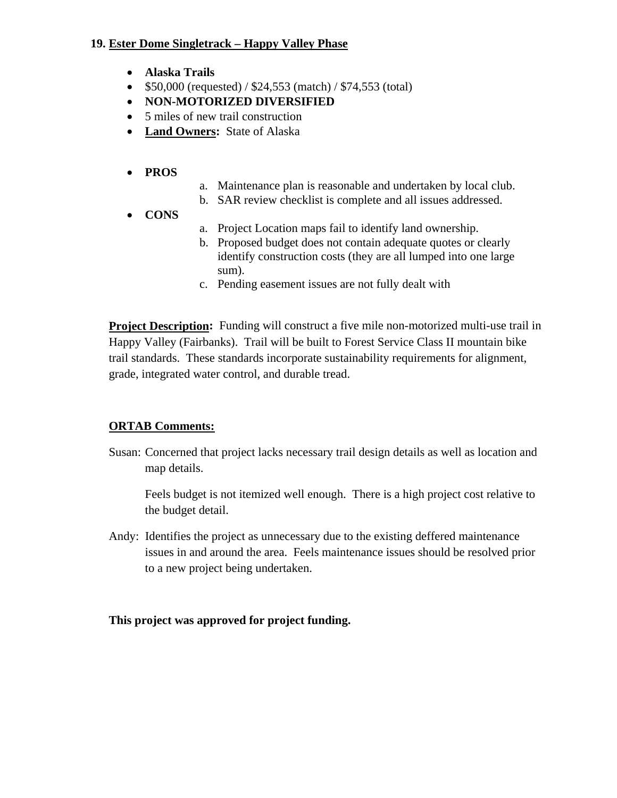### **19. Ester Dome Singletrack – Happy Valley Phase**

- **Alaska Trails**
- $$50,000$  (requested) /  $$24,553$  (match) /  $$74,553$  (total)
- **NON-MOTORIZED DIVERSIFIED**
- 5 miles of new trail construction
- **Land Owners:** State of Alaska
- **PROS**
- a. Maintenance plan is reasonable and undertaken by local club.
- b. SAR review checklist is complete and all issues addressed.
- **CONS**
- a. Project Location maps fail to identify land ownership.
- b. Proposed budget does not contain adequate quotes or clearly identify construction costs (they are all lumped into one large sum).
- c. Pending easement issues are not fully dealt with

**Project Description:** Funding will construct a five mile non-motorized multi-use trail in Happy Valley (Fairbanks). Trail will be built to Forest Service Class II mountain bike trail standards. These standards incorporate sustainability requirements for alignment, grade, integrated water control, and durable tread.

## **ORTAB Comments:**

Susan: Concerned that project lacks necessary trail design details as well as location and map details.

Feels budget is not itemized well enough. There is a high project cost relative to the budget detail.

Andy: Identifies the project as unnecessary due to the existing deffered maintenance issues in and around the area. Feels maintenance issues should be resolved prior to a new project being undertaken.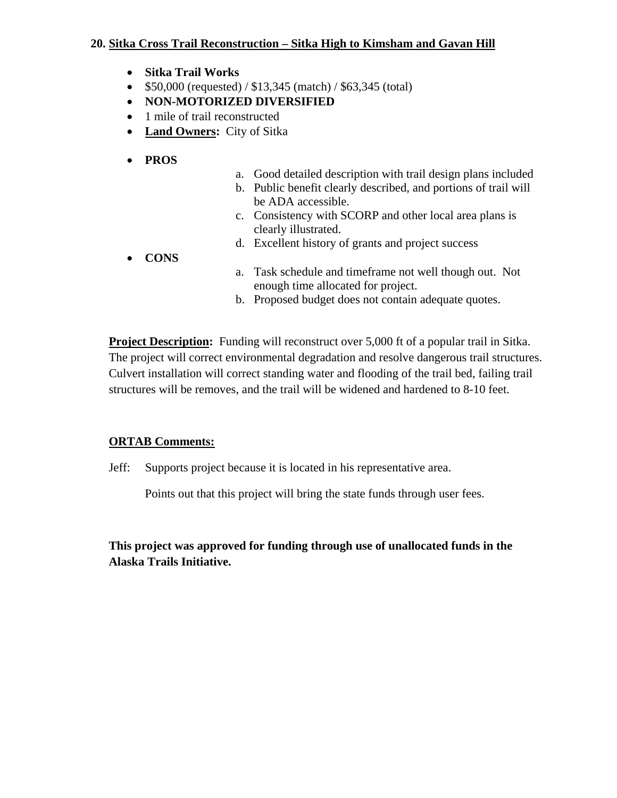### **20. Sitka Cross Trail Reconstruction – Sitka High to Kimsham and Gavan Hill**

- **Sitka Trail Works**
- $$50,000$  (requested) / \$13,345 (match) / \$63,345 (total)
- **NON-MOTORIZED DIVERSIFIED**
- 1 mile of trail reconstructed
- **Land Owners:** City of Sitka
- **PROS**
- a. Good detailed description with trail design plans included
- b. Public benefit clearly described, and portions of trail will be ADA accessible.
- c. Consistency with SCORP and other local area plans is clearly illustrated.
- d. Excellent history of grants and project success
- **CONS**
- a. Task schedule and timeframe not well though out. Not enough time allocated for project.
- b. Proposed budget does not contain adequate quotes.

**Project Description:** Funding will reconstruct over 5,000 ft of a popular trail in Sitka. The project will correct environmental degradation and resolve dangerous trail structures. Culvert installation will correct standing water and flooding of the trail bed, failing trail structures will be removes, and the trail will be widened and hardened to 8-10 feet.

### **ORTAB Comments:**

Jeff: Supports project because it is located in his representative area.

Points out that this project will bring the state funds through user fees.

**This project was approved for funding through use of unallocated funds in the Alaska Trails Initiative.**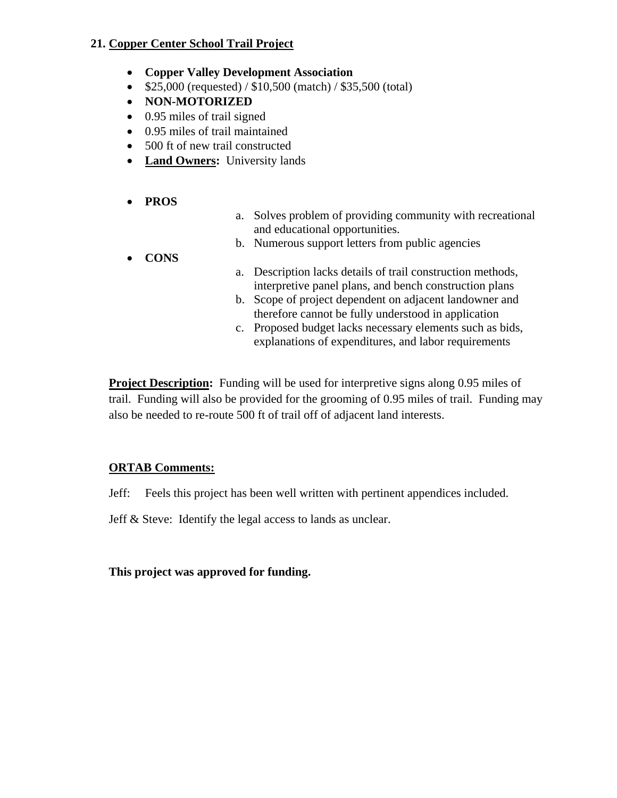### **21. Copper Center School Trail Project**

- **Copper Valley Development Association**
- $$25,000$  (requested) /  $$10,500$  (match) /  $$35,500$  (total)
- **NON-MOTORIZED**
- 0.95 miles of trail signed
- 0.95 miles of trail maintained
- 500 ft of new trail constructed
- **Land Owners:** University lands
- **PROS**
- a. Solves problem of providing community with recreational and educational opportunities.
- b. Numerous support letters from public agencies
- **CONS**
- a. Description lacks details of trail construction methods, interpretive panel plans, and bench construction plans
- b. Scope of project dependent on adjacent landowner and therefore cannot be fully understood in application
- c. Proposed budget lacks necessary elements such as bids, explanations of expenditures, and labor requirements

**Project Description:** Funding will be used for interpretive signs along 0.95 miles of trail. Funding will also be provided for the grooming of 0.95 miles of trail. Funding may also be needed to re-route 500 ft of trail off of adjacent land interests.

### **ORTAB Comments:**

Jeff: Feels this project has been well written with pertinent appendices included.

Jeff & Steve: Identify the legal access to lands as unclear.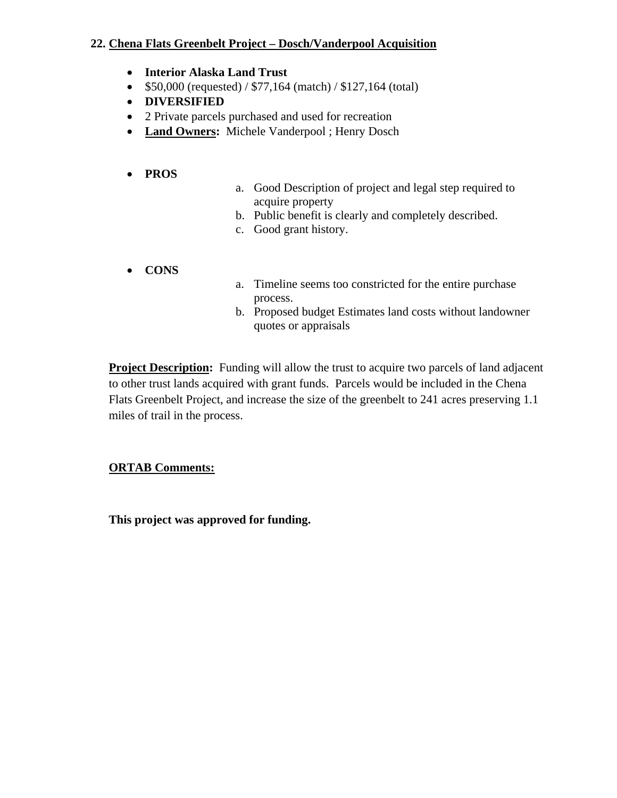### **22. Chena Flats Greenbelt Project – Dosch/Vanderpool Acquisition**

- **Interior Alaska Land Trust**
- \$50,000 (requested) / \$77,164 (match) / \$127,164 (total)
- **DIVERSIFIED**
- 2 Private parcels purchased and used for recreation
- **Land Owners:** Michele Vanderpool ; Henry Dosch
- **PROS**
- a. Good Description of project and legal step required to acquire property
- b. Public benefit is clearly and completely described.
- c. Good grant history.
- **CONS**
- a. Timeline seems too constricted for the entire purchase process.
- b. Proposed budget Estimates land costs without landowner quotes or appraisals

**Project Description:** Funding will allow the trust to acquire two parcels of land adjacent to other trust lands acquired with grant funds. Parcels would be included in the Chena Flats Greenbelt Project, and increase the size of the greenbelt to 241 acres preserving 1.1 miles of trail in the process.

## **ORTAB Comments:**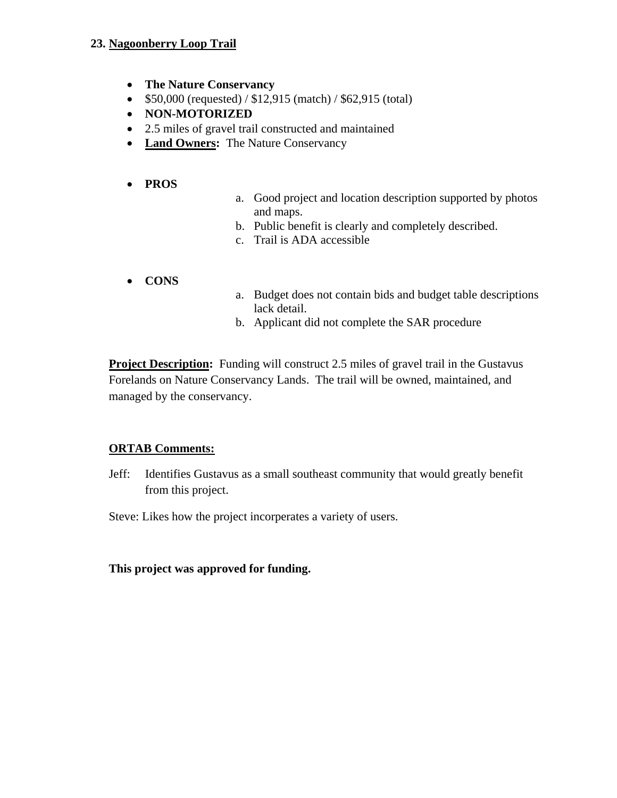### **23. Nagoonberry Loop Trail**

- **The Nature Conservancy**
- $$50,000$  (requested) /  $$12,915$  (match) /  $$62,915$  (total)
- **NON-MOTORIZED**
- 2.5 miles of gravel trail constructed and maintained
- **Land Owners:** The Nature Conservancy

### • **PROS**

- a. Good project and location description supported by photos and maps.
- b. Public benefit is clearly and completely described.
- c. Trail is ADA accessible
- **CONS**
- a. Budget does not contain bids and budget table descriptions lack detail.
- b. Applicant did not complete the SAR procedure

**Project Description:** Funding will construct 2.5 miles of gravel trail in the Gustavus Forelands on Nature Conservancy Lands. The trail will be owned, maintained, and managed by the conservancy.

## **ORTAB Comments:**

Jeff: Identifies Gustavus as a small southeast community that would greatly benefit from this project.

Steve: Likes how the project incorperates a variety of users.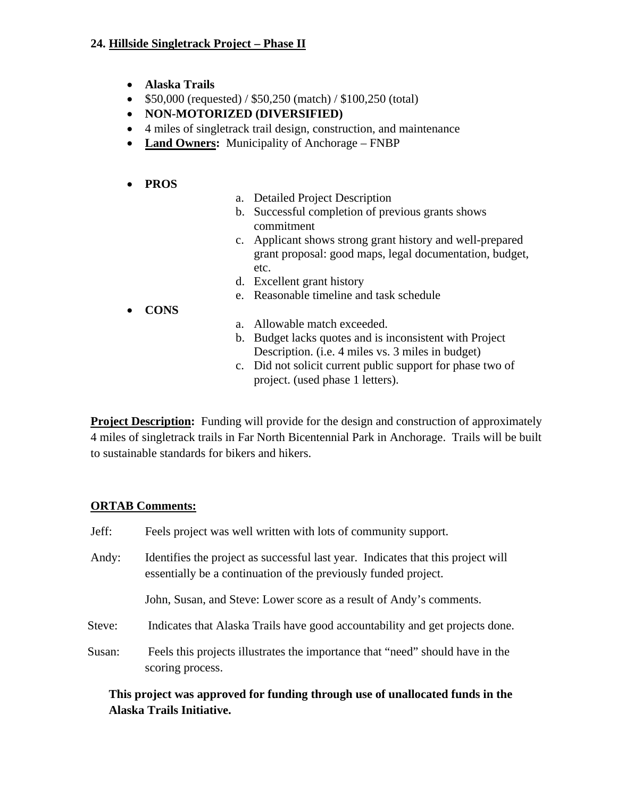### **24. Hillside Singletrack Project – Phase II**

- **Alaska Trails**
- \$50,000 (requested) / \$50,250 (match) / \$100,250 (total)
- **NON-MOTORIZED (DIVERSIFIED)**
- 4 miles of singletrack trail design, construction, and maintenance
- **Land Owners:** Municipality of Anchorage FNBP

### • **PROS**

- a. Detailed Project Description
- b. Successful completion of previous grants shows commitment
- c. Applicant shows strong grant history and well-prepared grant proposal: good maps, legal documentation, budget, etc.
- d. Excellent grant history
- e. Reasonable timeline and task schedule
- **CONS**
- a. Allowable match exceeded.
- b. Budget lacks quotes and is inconsistent with Project Description. (i.e. 4 miles vs. 3 miles in budget)
- c. Did not solicit current public support for phase two of project. (used phase 1 letters).

**Project Description:** Funding will provide for the design and construction of approximately 4 miles of singletrack trails in Far North Bicentennial Park in Anchorage. Trails will be built to sustainable standards for bikers and hikers.

### **ORTAB Comments:**

| Jeff:  | Feels project was well written with lots of community support.                                                                                      |
|--------|-----------------------------------------------------------------------------------------------------------------------------------------------------|
| Andy:  | Identifies the project as successful last year. Indicates that this project will<br>essentially be a continuation of the previously funded project. |
|        | John, Susan, and Steve: Lower score as a result of Andy's comments.                                                                                 |
| Steve: | Indicates that Alaska Trails have good accountability and get projects done.                                                                        |
| Susan: | Feels this projects illustrates the importance that "need" should have in the<br>scoring process.                                                   |

## **This project was approved for funding through use of unallocated funds in the Alaska Trails Initiative.**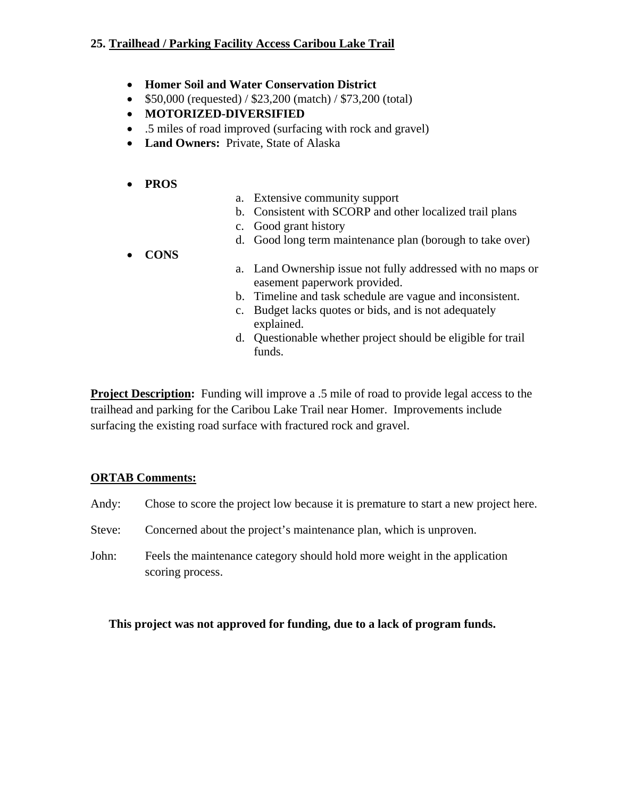### **25. Trailhead / Parking Facility Access Caribou Lake Trail**

- **Homer Soil and Water Conservation District**
- \$50,000 (requested) / \$23,200 (match) / \$73,200 (total)
- **MOTORIZED-DIVERSIFIED**
- .5 miles of road improved (surfacing with rock and gravel)
- **Land Owners:** Private, State of Alaska
- **PROS**
- a. Extensive community support
- b. Consistent with SCORP and other localized trail plans
- c. Good grant history
- d. Good long term maintenance plan (borough to take over)
- **CONS**
- a. Land Ownership issue not fully addressed with no maps or easement paperwork provided.
- b. Timeline and task schedule are vague and inconsistent.
- c. Budget lacks quotes or bids, and is not adequately explained.
- d. Questionable whether project should be eligible for trail funds.

**Project Description:** Funding will improve a .5 mile of road to provide legal access to the trailhead and parking for the Caribou Lake Trail near Homer. Improvements include surfacing the existing road surface with fractured rock and gravel.

## **ORTAB Comments:**

- Andy: Chose to score the project low because it is premature to start a new project here.
- Steve: Concerned about the project's maintenance plan, which is unproven.
- John: Feels the maintenance category should hold more weight in the application scoring process.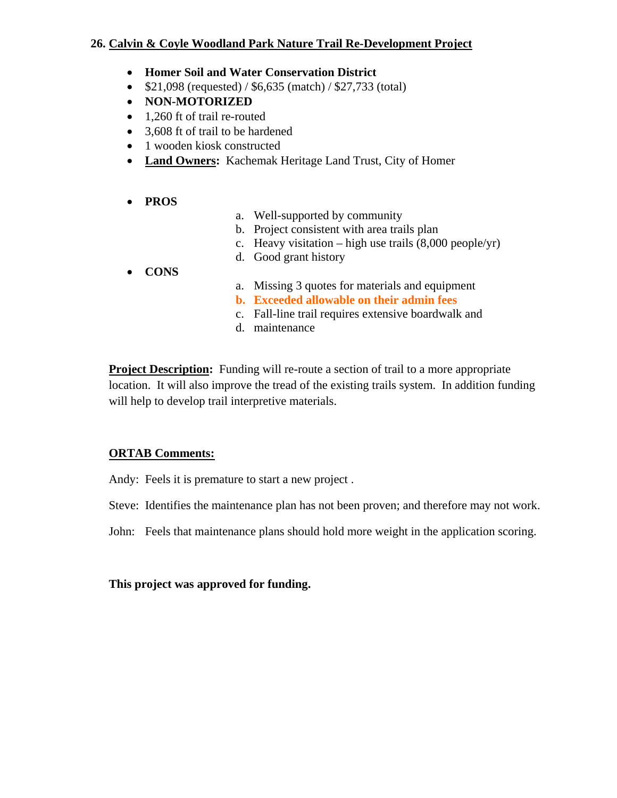### **26. Calvin & Coyle Woodland Park Nature Trail Re-Development Project**

- **Homer Soil and Water Conservation District**
- $$21,098$  (requested) / \$6,635 (match) / \$27,733 (total)
- **NON-MOTORIZED**
- 1,260 ft of trail re-routed
- 3,608 ft of trail to be hardened
- 1 wooden kiosk constructed
- **Land Owners:** Kachemak Heritage Land Trust, City of Homer
- **PROS**
- a. Well-supported by community
- b. Project consistent with area trails plan
- c. Heavy visitation high use trails  $(8,000 \text{ people/yr})$
- d. Good grant history
- **CONS**
- a. Missing 3 quotes for materials and equipment
- **b. Exceeded allowable on their admin fees**
- c. Fall-line trail requires extensive boardwalk and
- d. maintenance

**Project Description:** Funding will re-route a section of trail to a more appropriate location. It will also improve the tread of the existing trails system. In addition funding will help to develop trail interpretive materials.

## **ORTAB Comments:**

Andy: Feels it is premature to start a new project .

Steve: Identifies the maintenance plan has not been proven; and therefore may not work.

John: Feels that maintenance plans should hold more weight in the application scoring.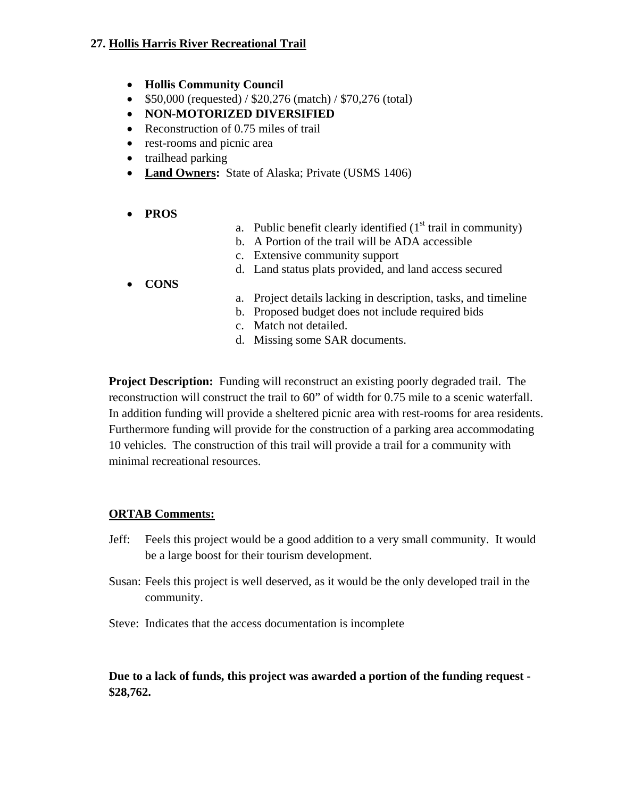### **27. Hollis Harris River Recreational Trail**

- **Hollis Community Council**
- $$50,000$  (requested) /  $$20,276$  (match) /  $$70,276$  (total)
- **NON-MOTORIZED DIVERSIFIED**
- Reconstruction of 0.75 miles of trail
- rest-rooms and picnic area
- trailhead parking
- **Land Owners:** State of Alaska; Private (USMS 1406)
- **PROS**
- a. Public benefit clearly identified  $(1<sup>st</sup> \text{ trail in community})$
- b. A Portion of the trail will be ADA accessible
- c. Extensive community support
- d. Land status plats provided, and land access secured
- **CONS**
- a. Project details lacking in description, tasks, and timeline
- b. Proposed budget does not include required bids
- c. Match not detailed.
- d. Missing some SAR documents.

**Project Description:** Funding will reconstruct an existing poorly degraded trail. The reconstruction will construct the trail to 60" of width for 0.75 mile to a scenic waterfall. In addition funding will provide a sheltered picnic area with rest-rooms for area residents. Furthermore funding will provide for the construction of a parking area accommodating 10 vehicles. The construction of this trail will provide a trail for a community with minimal recreational resources.

### **ORTAB Comments:**

- Jeff: Feels this project would be a good addition to a very small community. It would be a large boost for their tourism development.
- Susan: Feels this project is well deserved, as it would be the only developed trail in the community.
- Steve: Indicates that the access documentation is incomplete

### **Due to a lack of funds, this project was awarded a portion of the funding request - \$28,762.**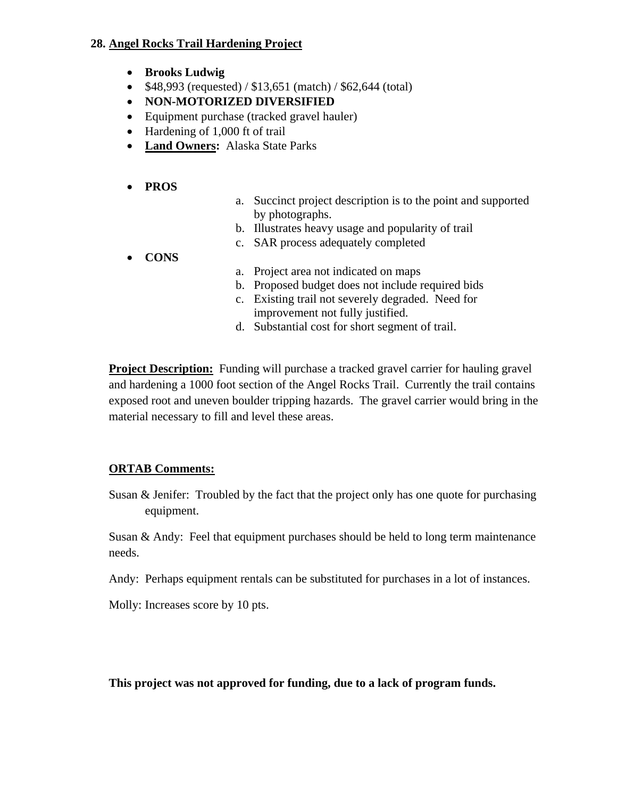#### **28. Angel Rocks Trail Hardening Project**

- **Brooks Ludwig**
- \$48,993 (requested) / \$13,651 (match) / \$62,644 (total)
- **NON-MOTORIZED DIVERSIFIED**
- Equipment purchase (tracked gravel hauler)
- Hardening of 1,000 ft of trail
- **Land Owners:** Alaska State Parks

### • **PROS**

- a. Succinct project description is to the point and supported by photographs.
- b. Illustrates heavy usage and popularity of trail
- c. SAR process adequately completed
- **CONS**
- a. Project area not indicated on maps
- b. Proposed budget does not include required bids
- c. Existing trail not severely degraded. Need for improvement not fully justified.
- d. Substantial cost for short segment of trail.

**Project Description:** Funding will purchase a tracked gravel carrier for hauling gravel and hardening a 1000 foot section of the Angel Rocks Trail. Currently the trail contains exposed root and uneven boulder tripping hazards. The gravel carrier would bring in the material necessary to fill and level these areas.

### **ORTAB Comments:**

Susan & Jenifer: Troubled by the fact that the project only has one quote for purchasing equipment.

Susan & Andy: Feel that equipment purchases should be held to long term maintenance needs.

Andy: Perhaps equipment rentals can be substituted for purchases in a lot of instances.

Molly: Increases score by 10 pts.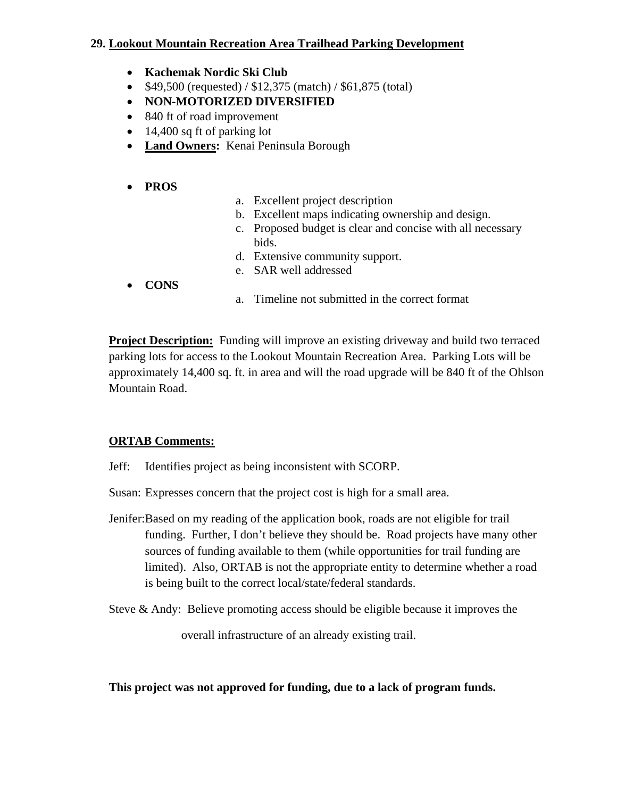### **29. Lookout Mountain Recreation Area Trailhead Parking Development**

- **Kachemak Nordic Ski Club**
- $$49,500$  (requested) /  $$12,375$  (match) /  $$61,875$  (total)
- **NON-MOTORIZED DIVERSIFIED**
- 840 ft of road improvement
- 14,400 sq ft of parking lot
- **Land Owners:** Kenai Peninsula Borough

### • **PROS**

- a. Excellent project description
- b. Excellent maps indicating ownership and design.
- c. Proposed budget is clear and concise with all necessary bids.
- d. Extensive community support.
- e. SAR well addressed
- **CONS**
- a. Timeline not submitted in the correct format

**Project Description:** Funding will improve an existing driveway and build two terraced parking lots for access to the Lookout Mountain Recreation Area. Parking Lots will be approximately 14,400 sq. ft. in area and will the road upgrade will be 840 ft of the Ohlson Mountain Road.

### **ORTAB Comments:**

Jeff: Identifies project as being inconsistent with SCORP.

- Susan: Expresses concern that the project cost is high for a small area.
- Jenifer:Based on my reading of the application book, roads are not eligible for trail funding. Further, I don't believe they should be. Road projects have many other sources of funding available to them (while opportunities for trail funding are limited). Also, ORTAB is not the appropriate entity to determine whether a road is being built to the correct local/state/federal standards.
- Steve & Andy: Believe promoting access should be eligible because it improves the

overall infrastructure of an already existing trail.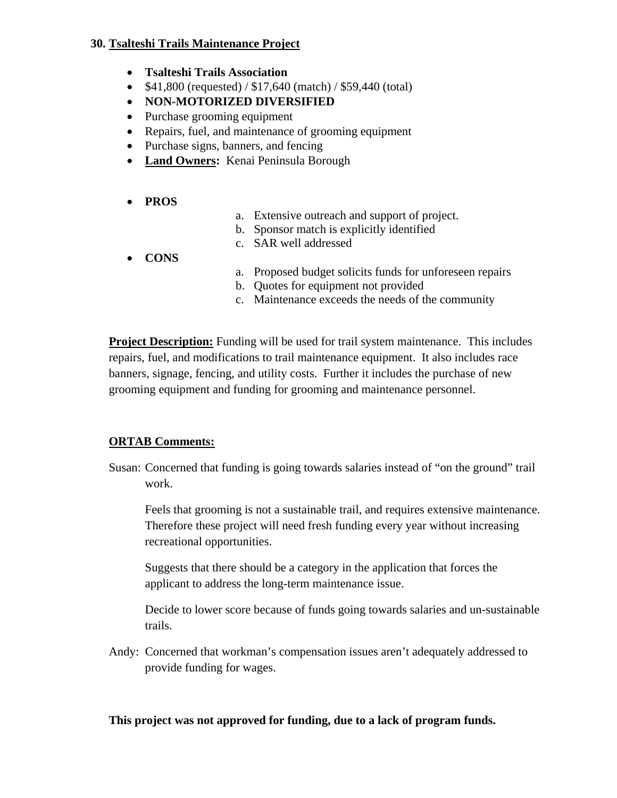#### **30. Tsalteshi Trails Maintenance Project**

- **Tsalteshi Trails Association**
- $$41,800$  (requested) /  $$17,640$  (match) /  $$59,440$  (total)
- **NON-MOTORIZED DIVERSIFIED**
- Purchase grooming equipment
- Repairs, fuel, and maintenance of grooming equipment
- Purchase signs, banners, and fencing
- **Land Owners:** Kenai Peninsula Borough
- **PROS**
- a. Extensive outreach and support of project.
- b. Sponsor match is explicitly identified
- c. SAR well addressed
- **CONS**
- a. Proposed budget solicits funds for unforeseen repairs
- b. Quotes for equipment not provided
- c. Maintenance exceeds the needs of the community

**Project Description:** Funding will be used for trail system maintenance. This includes repairs, fuel, and modifications to trail maintenance equipment. It also includes race banners, signage, fencing, and utility costs. Further it includes the purchase of new grooming equipment and funding for grooming and maintenance personnel.

### **ORTAB Comments:**

Susan: Concerned that funding is going towards salaries instead of "on the ground" trail work.

Feels that grooming is not a sustainable trail, and requires extensive maintenance. Therefore these project will need fresh funding every year without increasing recreational opportunities.

Suggests that there should be a category in the application that forces the applicant to address the long-term maintenance issue.

Decide to lower score because of funds going towards salaries and un-sustainable trails.

Andy: Concerned that workman's compensation issues aren't adequately addressed to provide funding for wages.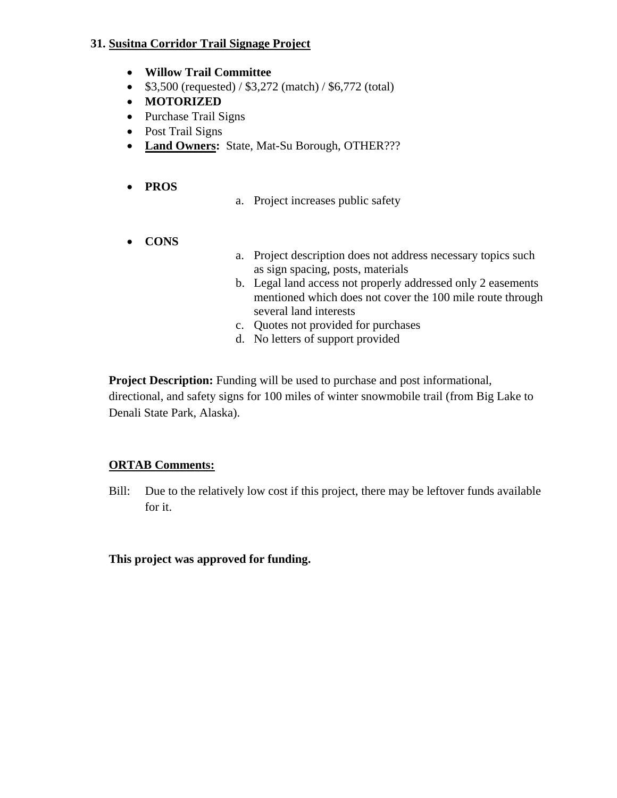#### **31. Susitna Corridor Trail Signage Project**

- **Willow Trail Committee**
- $$3,500$  (requested) /  $$3,272$  (match) /  $$6,772$  (total)
- **MOTORIZED**
- Purchase Trail Signs
- Post Trail Signs
- **Land Owners:** State, Mat-Su Borough, OTHER???
- **PROS**
- a. Project increases public safety
- **CONS**
- a. Project description does not address necessary topics such as sign spacing, posts, materials
- b. Legal land access not properly addressed only 2 easements mentioned which does not cover the 100 mile route through several land interests
- c. Quotes not provided for purchases
- d. No letters of support provided

**Project Description:** Funding will be used to purchase and post informational, directional, and safety signs for 100 miles of winter snowmobile trail (from Big Lake to Denali State Park, Alaska).

### **ORTAB Comments:**

Bill: Due to the relatively low cost if this project, there may be leftover funds available for it.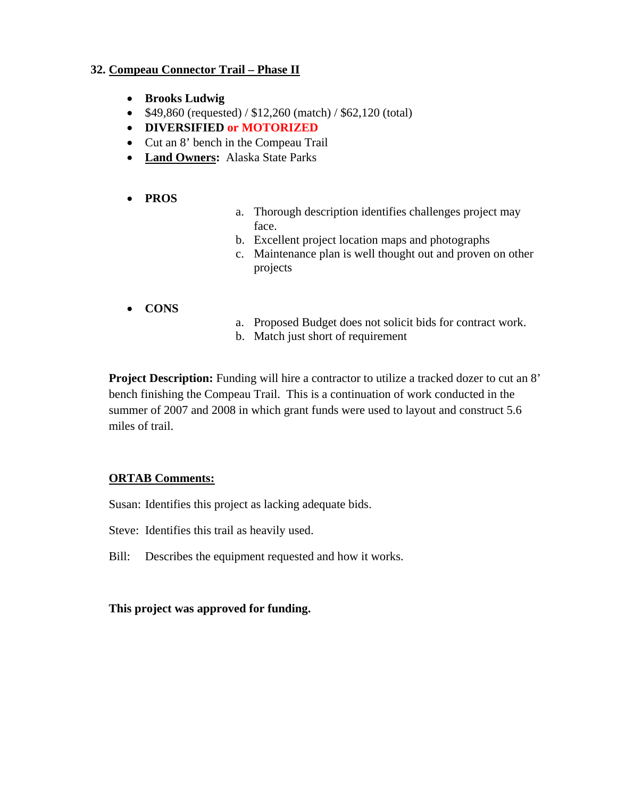### **32. Compeau Connector Trail – Phase II**

- **Brooks Ludwig**
- $$49,860$  (requested) /  $$12,260$  (match) /  $$62,120$  (total)
- **DIVERSIFIED or MOTORIZED**
- Cut an 8' bench in the Compeau Trail
- **Land Owners:** Alaska State Parks
- **PROS**
- a. Thorough description identifies challenges project may face.
- b. Excellent project location maps and photographs
- c. Maintenance plan is well thought out and proven on other projects
- **CONS**
- a. Proposed Budget does not solicit bids for contract work.
- b. Match just short of requirement

**Project Description:** Funding will hire a contractor to utilize a tracked dozer to cut an 8' bench finishing the Compeau Trail. This is a continuation of work conducted in the summer of 2007 and 2008 in which grant funds were used to layout and construct 5.6 miles of trail.

### **ORTAB Comments:**

Susan: Identifies this project as lacking adequate bids.

Steve: Identifies this trail as heavily used.

Bill: Describes the equipment requested and how it works.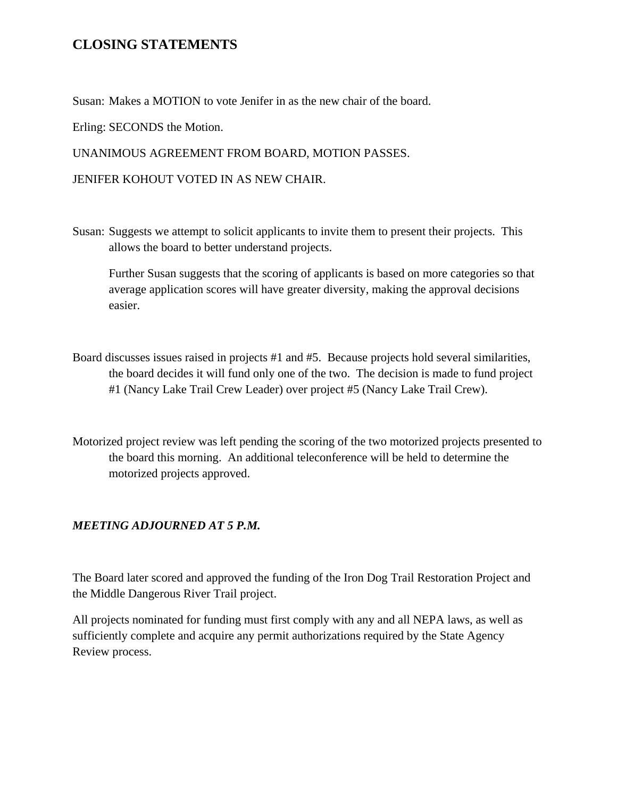# **CLOSING STATEMENTS**

Susan: Makes a MOTION to vote Jenifer in as the new chair of the board.

Erling: SECONDS the Motion.

UNANIMOUS AGREEMENT FROM BOARD, MOTION PASSES.

JENIFER KOHOUT VOTED IN AS NEW CHAIR.

Susan: Suggests we attempt to solicit applicants to invite them to present their projects. This allows the board to better understand projects.

 Further Susan suggests that the scoring of applicants is based on more categories so that average application scores will have greater diversity, making the approval decisions easier.

- Board discusses issues raised in projects #1 and #5. Because projects hold several similarities, the board decides it will fund only one of the two. The decision is made to fund project #1 (Nancy Lake Trail Crew Leader) over project #5 (Nancy Lake Trail Crew).
- Motorized project review was left pending the scoring of the two motorized projects presented to the board this morning. An additional teleconference will be held to determine the motorized projects approved.

## *MEETING ADJOURNED AT 5 P.M.*

The Board later scored and approved the funding of the Iron Dog Trail Restoration Project and the Middle Dangerous River Trail project.

All projects nominated for funding must first comply with any and all NEPA laws, as well as sufficiently complete and acquire any permit authorizations required by the State Agency Review process.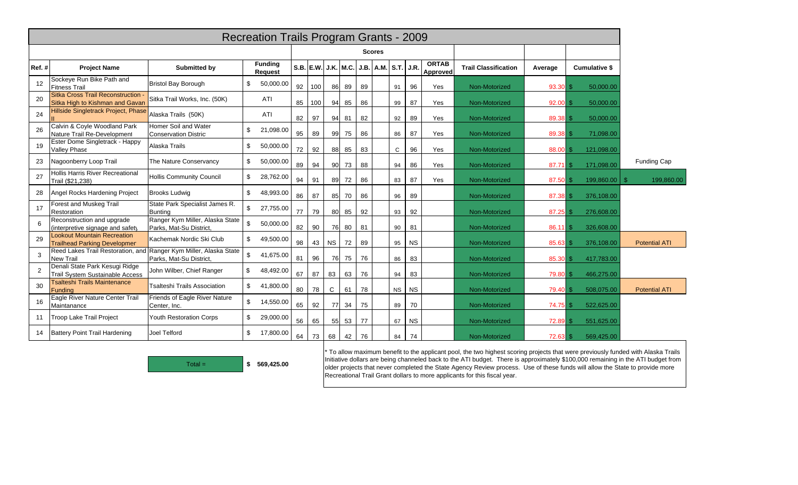|       | <b>Recreation Trails Program Grants - 2009</b>                        |                                                            |              |                           |    |     |                     |    |    |                           |           |           |                          |                             |            |                      |                      |
|-------|-----------------------------------------------------------------------|------------------------------------------------------------|--------------|---------------------------|----|-----|---------------------|----|----|---------------------------|-----------|-----------|--------------------------|-----------------------------|------------|----------------------|----------------------|
|       |                                                                       |                                                            |              |                           |    |     |                     |    |    |                           |           |           |                          |                             |            |                      |                      |
| Ref.# | <b>Project Name</b>                                                   | Submitted by                                               |              | <b>Funding</b><br>Request |    |     | S.B. E.W. J.K. M.C. |    |    | J.B.   A.M.   S.T.   J.R. |           |           | <b>ORTAB</b><br>Approved | <b>Trail Classification</b> | Average    | <b>Cumulative \$</b> |                      |
| 12    | Sockeye Run Bike Path and<br><b>Fitness Trail</b>                     | <b>Bristol Bay Borough</b>                                 | \$           | 50,000.00                 | 92 | 100 | 86                  | 89 | 89 |                           | 91        | 96        | Yes                      | Non-Motorized               | 93.30      | 50,000.00            |                      |
| 20    | Sitka Cross Trail Reconstruction -<br>Sitka High to Kishman and Gavan | Sitka Trail Works, Inc. (50K)                              |              | ATI                       | 85 | 100 | 94                  | 85 | 86 |                           | 99        | 87        | Yes                      | Non-Motorized               | $92.00$ \$ | 50,000.00            |                      |
| 24    | Hillside Singletrack Project, Phase                                   | Alaska Trails (50K)                                        |              | ATI                       | 82 | 97  | 94                  | 81 | 82 |                           | 92        | 89        | Yes                      | Non-Motorized               | 89.38      | 50,000.00            |                      |
| 26    | Calvin & Coyle Woodland Park<br>Nature Trail Re-Development           | Homer Soil and Water<br><b>Conservation District</b>       | \$           | 21,098.00                 | 95 | 89  | 99                  | 75 | 86 |                           | 86        | 87        | Yes                      | Non-Motorized               | 89.38 \$   | 71,098.00            |                      |
| 19    | Ester Dome Singletrack - Happy<br>Valley Phase                        | Alaska Trails                                              | \$           | 50,000.00                 | 72 | 92  | 88                  | 85 | 83 |                           | C         | 96        | Yes                      | Non-Motorized               | 88.00      | 121,098.00           |                      |
| 23    | Nagoonberry Loop Trail                                                | The Nature Conservancy                                     | \$           | 50,000.00                 | 89 | 94  | 90                  | 73 | 88 |                           | 94        | 86        | Yes                      | Non-Motorized               | $87.71$ \$ | 171,098.00           | <b>Funding Cap</b>   |
| 27    | Hollis Harris River Recreational<br>Trail (\$21.238)                  | <b>Hollis Community Council</b>                            | \$           | 28,762.00                 | 94 | 91  | 89                  | 72 | 86 |                           | 83        | 87        | Yes                      | Non-Motorized               | 87.50 \$   | 199,860.00           | 199,860.00           |
| 28    | Angel Rocks Hardening Project                                         | <b>Brooks Ludwig</b>                                       | \$           | 48,993.00                 | 86 | 87  | 85                  | 70 | 86 |                           | 96        | 89        |                          | Non-Motorized               | 87.38 \$   | 376,108.00           |                      |
| 17    | Forest and Muskeg Trail<br>Restoration                                | State Park Specialist James R.<br><b>Bunting</b>           | $\mathbb{S}$ | 27,755.00                 | 77 | 79  | 80                  | 85 | 92 |                           | 93        | 92        |                          | Non-Motorized               | 87.25      | 276,608.00           |                      |
| 6     | Reconstruction and upgrade<br>(interpretive signage and safety        | Ranger Kym Miller, Alaska State<br>Parks, Mat-Su District  | \$           | 50,000.00                 | 82 | 90  | 76                  | 80 | 81 |                           | 90        | 81        |                          | Non-Motorized               | 86.11      | 326,608.00           |                      |
| 29    | Lookout Mountain Recreation<br><b>Trailhead Parking Developmer</b>    | Kachemak Nordic Ski Club                                   | \$           | 49,500.00                 | 98 | 43  | <b>NS</b>           | 72 | 89 |                           | 95        | <b>NS</b> |                          | Non-Motorized               | 85.63      | 376,108.00           | <b>Potential ATI</b> |
| 3     | Reed Lakes Trail Restoration, and<br><b>New Trail</b>                 | Ranger Kym Miller, Alaska State<br>Parks, Mat-Su District, | \$           | 41,675.00                 | 81 | 96  | 76                  | 75 | 76 |                           | 86        | 83        |                          | Non-Motorized               | 85.30 \$   | 417,783.00           |                      |
| 2     | Denali State Park Kesugi Ridge<br>Trail System Sustainable Access     | John Wilber, Chief Ranger                                  | \$           | 48,492.00                 | 67 | 87  | 83                  | 63 | 76 |                           | 94        | 83        |                          | Non-Motorized               | 79.80      | 466,275.00           |                      |
| 30    | <b>Tsalteshi Trails Maintenance</b><br>Funding                        | <b>Tsalteshi Trails Association</b>                        | \$           | 41,800.00                 | 80 | 78  | $\mathsf{C}$        | 61 | 78 |                           | <b>NS</b> | <b>NS</b> |                          | Non-Motorized               | 79.40      | 508,075.00           | <b>Potential ATI</b> |
| 16    | Eagle River Nature Center Trail<br>Maintanance                        | Friends of Eagle River Nature<br>Center, Inc.              | \$           | 14,550.00                 | 65 | 92  | <b>77</b>           | 34 | 75 |                           | 89        | 70        |                          | Non-Motorized               | 74.75      | 522,625.00           |                      |
| 11    | Troop Lake Trail Project                                              | Youth Restoration Corps                                    | \$           | 29,000.00                 | 56 | 65  | 55                  | 53 | 77 |                           | 67        | <b>NS</b> |                          | Non-Motorized               | 72.89      | 551,625.00           |                      |
| 14    | Battery Point Trail Hardening                                         | Joel Telford                                               | \$           | 17,800.00                 | 64 | 73  | 68                  | 42 | 76 |                           | 84        | 74        |                          | Non-Motorized               | $72.63$ \$ | 569,425.00           |                      |



\* To allow maximum benefit to the applicant pool, the two highest scoring projects that were previously funded with Alaska Trails Initiative dollars are being channeled back to the ATI budget. There is approximately \$100,000 remaining in the ATI budget from older projects that never completed the State Agency Review process. Use of these funds will allow the State to provide more Recreational Trail Grant dollars to more applicants for this fiscal year.